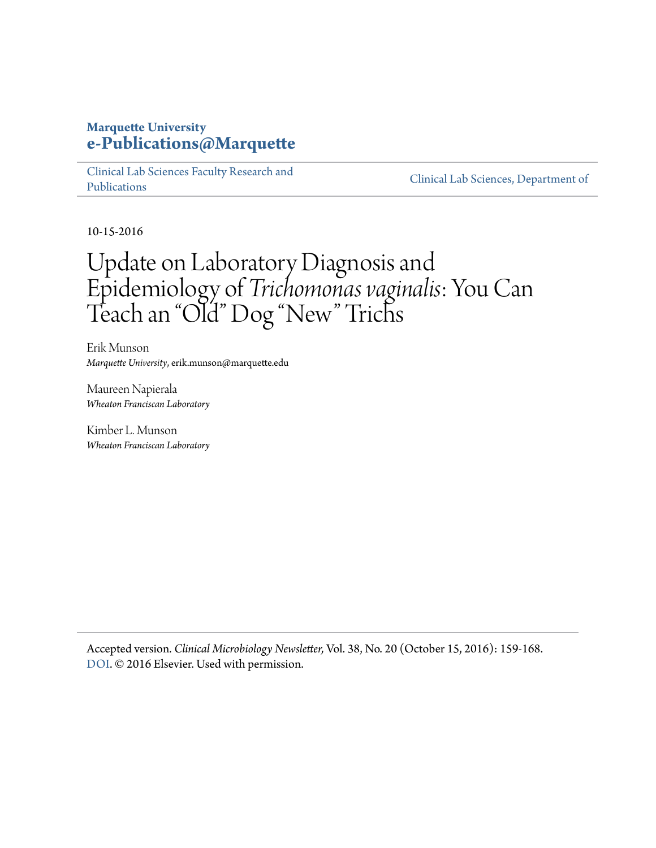### **Marquette University [e-Publications@Marquette](https://epublications.marquette.edu)**

[Clinical Lab Sciences Faculty Research and](https://epublications.marquette.edu/clinical_lab_fac) [Publications](https://epublications.marquette.edu/clinical_lab_fac)

[Clinical Lab Sciences, Department of](https://epublications.marquette.edu/clinical_lab)

10-15-2016

## Update on Laboratory Diagnosis and Epidemiology of *Trichomonas vaginalis*: You Can Teach an "Old" Dog "New" Trichs

Erik Munson *Marquette University*, erik.munson@marquette.edu

Maureen Napierala *Wheaton Franciscan Laboratory*

Kimber L. Munson *Wheaton Franciscan Laboratory*

Accepted version*. Clinical Microbiology Newsletter,* Vol. 38, No. 20 (October 15, 2016): 159-168. [DOI](http://dx.doi.org/10.1016/j.clinmicnews.2016.09.003). © 2016 Elsevier. Used with permission.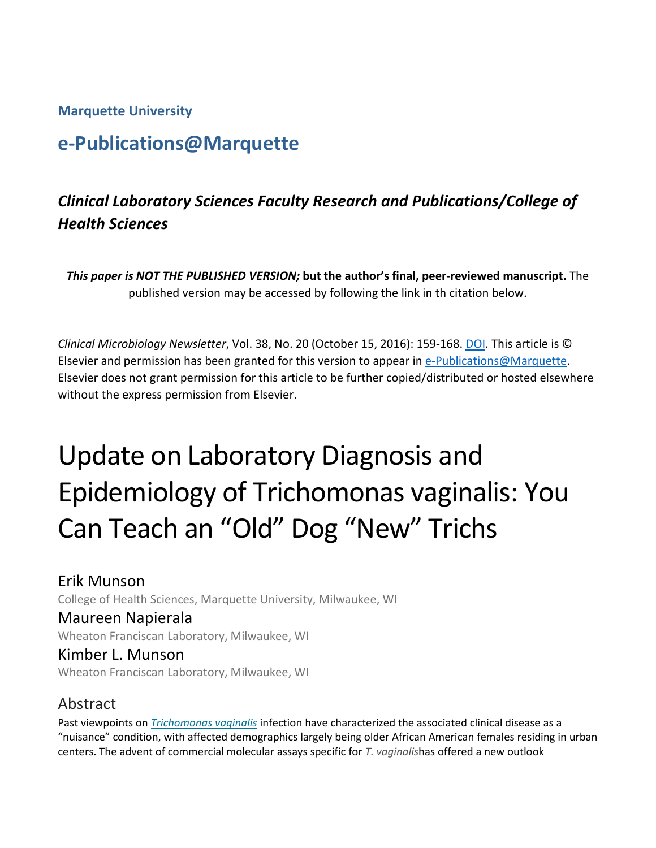**Marquette University**

## **e-Publications@Marquette**

## *Clinical Laboratory Sciences Faculty Research and Publications/College of Health Sciences*

*This paper is NOT THE PUBLISHED VERSION;* **but the author's final, peer-reviewed manuscript.** The published version may be accessed by following the link in th citation below.

*Clinical Microbiology Newsletter*, Vol. 38, No. 20 (October 15, 2016): 159-168[. DOI.](https://doi.org/10.1016/j.clinmicnews.2016.09.003) This article is © Elsevier and permission has been granted for this version to appear in [e-Publications@Marquette.](http://epublications.marquette.edu/) Elsevier does not grant permission for this article to be further copied/distributed or hosted elsewhere without the express permission from Elsevier.

# Update on Laboratory Diagnosis and Epidemiology of Trichomonas vaginalis: You Can Teach an "Old" Dog "New" Trichs

## Erik Munson

College of Health Sciences, Marquette University, Milwaukee, WI

#### Maureen Napierala

Wheaton Franciscan Laboratory, Milwaukee, WI

Kimber L. Munson Wheaton Franciscan Laboratory, Milwaukee, WI

## Abstract

Past viewpoints on *[Trichomonas vaginalis](https://www.sciencedirect.com/topics/medicine-and-dentistry/trichomonas-vaginalis)* infection have characterized the associated clinical disease as a "nuisance" condition, with affected demographics largely being older African American females residing in urban centers. The advent of commercial molecular assays specific for *T. vaginalis*has offered a new outlook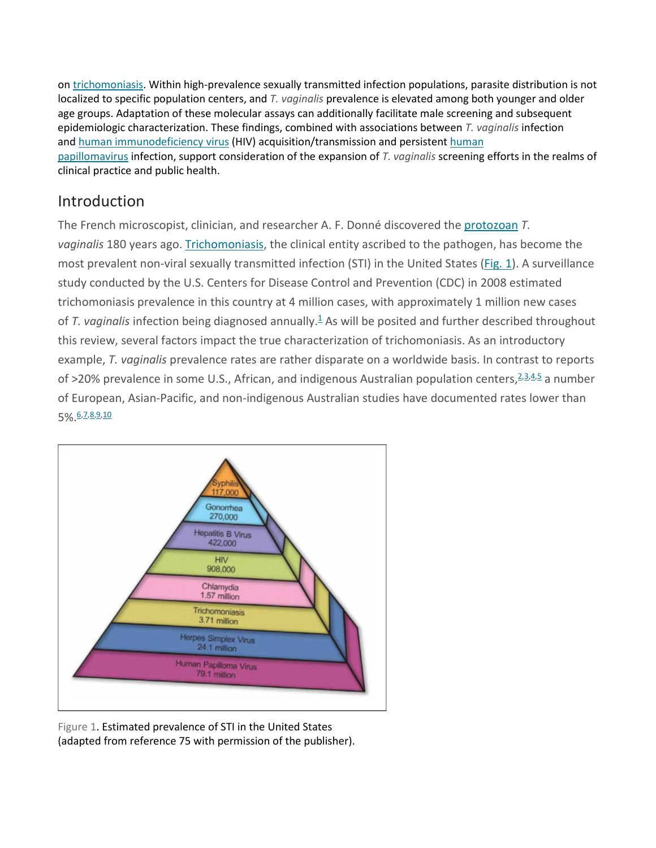on [trichomoniasis.](https://www.sciencedirect.com/topics/medicine-and-dentistry/trichomoniasis) Within high-prevalence sexually transmitted infection populations, parasite distribution is not localized to specific population centers, and *T. vaginalis* prevalence is elevated among both younger and older age groups. Adaptation of these molecular assays can additionally facilitate male screening and subsequent epidemiologic characterization. These findings, combined with associations between *T. vaginalis* infection and [human immunodeficiency virus](https://www.sciencedirect.com/topics/medicine-and-dentistry/human-immunodeficiency-virus) (HIV) acquisition/transmission and persistent [human](https://www.sciencedirect.com/topics/immunology-and-microbiology/human-papillomavirus)  [papillomavirus](https://www.sciencedirect.com/topics/immunology-and-microbiology/human-papillomavirus) infection, support consideration of the expansion of *T. vaginalis* screening efforts in the realms of clinical practice and public health.

## Introduction

The French microscopist, clinician, and researcher A. F. Donné discovered the [protozoan](https://www.sciencedirect.com/topics/immunology-and-microbiology/protozoa) *T. vaginalis* 180 years ago. [Trichomoniasis,](https://www.sciencedirect.com/topics/medicine-and-dentistry/trichomoniasis) the clinical entity ascribed to the pathogen, has become the most prevalent non-viral sexually transmitted infection (STI) in the United States [\(Fig. 1\)](https://www.sciencedirect.com/science/article/pii/S0196439916300733?via%3Dihub#fig1). A surveillance study conducted by the U.S. Centers for Disease Control and Prevention (CDC) in 2008 estimated trichomoniasis prevalence in this country at 4 million cases, with approximately 1 million new cases of T[.](https://www.sciencedirect.com/science/article/pii/S0196439916300733?via%3Dihub#bib1) vaginalis infection being diagnosed annually.<sup>1</sup> As will be posited and further described throughout this review, several factors impact the true characterization of trichomoniasis. As an introductory example, *T. vaginalis* prevalence rates are rather disparate on a worldwide basis. In contrast to reports of >20% prevalence in some U.S., African, and indigenous Australian population centers, <sup>[2,](https://www.sciencedirect.com/science/article/pii/S0196439916300733?via%3Dihub#bib2)[3,](https://www.sciencedirect.com/science/article/pii/S0196439916300733?via%3Dihub#bib3)[4,](https://www.sciencedirect.com/science/article/pii/S0196439916300733?via%3Dihub#bib4)[5](https://www.sciencedirect.com/science/article/pii/S0196439916300733?via%3Dihub#bib5)</sup> a number of European, Asian-Pacific, and non-indigenous Australian studies have documented rates lower than 5%.<sup>[6,](https://www.sciencedirect.com/science/article/pii/S0196439916300733?via%3Dihub#bib6)[7,](https://www.sciencedirect.com/science/article/pii/S0196439916300733?via%3Dihub#bib7)[8,](https://www.sciencedirect.com/science/article/pii/S0196439916300733?via%3Dihub#bib8)[9,](https://www.sciencedirect.com/science/article/pii/S0196439916300733?via%3Dihub#bib9)[10](https://www.sciencedirect.com/science/article/pii/S0196439916300733?via%3Dihub#bib10)</sup>



Figure 1. Estimated prevalence of STI in the United States (adapted from reference 75 with permission of the publisher).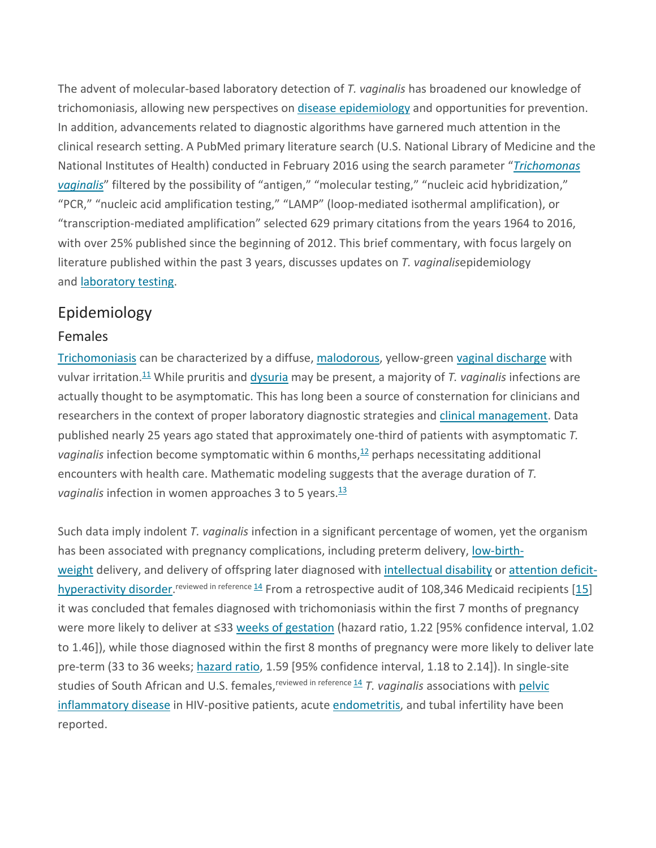The advent of molecular-based laboratory detection of *T. vaginalis* has broadened our knowledge of trichomoniasis, allowing new perspectives on [disease epidemiology](https://www.sciencedirect.com/topics/medicine-and-dentistry/disease-epidemiology) and opportunities for prevention. In addition, advancements related to diagnostic algorithms have garnered much attention in the clinical research setting. A PubMed primary literature search (U.S. National Library of Medicine and the National Institutes of Health) conducted in February 2016 using the search parameter "*[Trichomonas](https://www.sciencedirect.com/topics/medicine-and-dentistry/trichomonas-vaginalis)  [vaginalis](https://www.sciencedirect.com/topics/medicine-and-dentistry/trichomonas-vaginalis)*" filtered by the possibility of "antigen," "molecular testing," "nucleic acid hybridization," "PCR," "nucleic acid amplification testing," "LAMP" (loop-mediated isothermal amplification), or "transcription-mediated amplification" selected 629 primary citations from the years 1964 to 2016, with over 25% published since the beginning of 2012. This brief commentary, with focus largely on literature published within the past 3 years, discusses updates on *T. vaginalis*epidemiology and [laboratory testing.](https://www.sciencedirect.com/topics/medicine-and-dentistry/laboratory-testing)

## Epidemiology

#### Females

[Trichomoniasis](https://www.sciencedirect.com/topics/medicine-and-dentistry/trichomoniasis) can be characterized by a diffuse, [malodorous,](https://www.sciencedirect.com/topics/medicine-and-dentistry/malodorant) yellow-green [vaginal discharge](https://www.sciencedirect.com/topics/medicine-and-dentistry/vaginal-discharge) with vulvar irritation.<sup>[11](https://www.sciencedirect.com/science/article/pii/S0196439916300733?via%3Dihub#bib11)</sup> While pruritis and [dysuria](https://www.sciencedirect.com/topics/medicine-and-dentistry/dysuria) may be present, a majority of *T. vaginalis* infections are actually thought to be asymptomatic. This has long been a source of consternation for clinicians and researchers in the context of proper laboratory diagnostic strategies and [clinical management.](https://www.sciencedirect.com/topics/medicine-and-dentistry/clinical-management) Data published nearly 25 years ago stated that approximately one-third of patients with asymptomatic *T. vaginalis* infection become symptomatic within 6 months, [12](https://www.sciencedirect.com/science/article/pii/S0196439916300733?via%3Dihub#bib12) perhaps necessitating additional encounters with health care. Mathematic modeling suggests that the average duration of *T. vaginalis* infection in women approaches 3 to 5 years. [13](https://www.sciencedirect.com/science/article/pii/S0196439916300733?via%3Dihub#bib13)

Such data imply indolent *T. vaginalis* infection in a significant percentage of women, yet the organism has been associated with pregnancy complications, including preterm delivery, [low-birth](https://www.sciencedirect.com/topics/medicine-and-dentistry/low-birth-weight)[weight](https://www.sciencedirect.com/topics/medicine-and-dentistry/low-birth-weight) delivery, and delivery of offspring later diagnosed with [intellectual disability](https://www.sciencedirect.com/topics/medicine-and-dentistry/intellectual-disability) or [attention deficit](https://www.sciencedirect.com/topics/medicine-and-dentistry/attention-deficit-hyperactivity-disorder)[hyperactivity disorder.](https://www.sciencedirect.com/topics/medicine-and-dentistry/attention-deficit-hyperactivity-disorder)<sup>reviewed in reference [14](https://www.sciencedirect.com/science/article/pii/S0196439916300733?via%3Dihub#bib14)</sup> From a retrospective audit of 108,346 Medicaid recipients [\[15\]](https://www.sciencedirect.com/science/article/pii/S0196439916300733?via%3Dihub#bib15) it was concluded that females diagnosed with trichomoniasis within the first 7 months of pregnancy were more likely to deliver at ≤33 [weeks of gestation](https://www.sciencedirect.com/topics/medicine-and-dentistry/gestational-age) (hazard ratio, 1.22 [95% confidence interval, 1.02 to 1.46]), while those diagnosed within the first 8 months of pregnancy were more likely to deliver late pre-term (33 to 36 weeks; [hazard ratio,](https://www.sciencedirect.com/topics/medicine-and-dentistry/hazard-ratio) 1.59 [95% confidence interval, 1.18 to 2.14]). In single-site studies of South African and U.S. females, <sup>reviewed in reference [14](https://www.sciencedirect.com/science/article/pii/S0196439916300733?via%3Dihub#bib14)</sup> T. vaginalis associations with pelvic [inflammatory disease](https://www.sciencedirect.com/topics/medicine-and-dentistry/pelvic-inflammatory-disease) in HIV-positive patients, acute [endometritis,](https://www.sciencedirect.com/topics/immunology-and-microbiology/endometritis) and tubal infertility have been reported.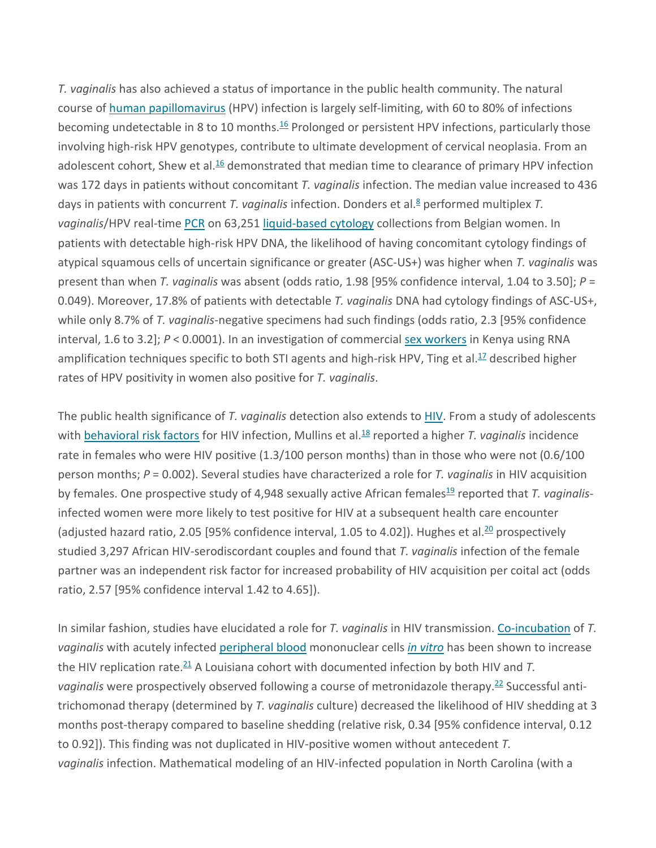*T. vaginalis* has also achieved a status of importance in the public health community. The natural course of [human papillomavirus](https://www.sciencedirect.com/topics/immunology-and-microbiology/human-papillomavirus) (HPV) infection is largely self-limiting, with 60 to 80% of infections becoming undetectable in 8 to 10 months.<sup>[16](https://www.sciencedirect.com/science/article/pii/S0196439916300733?via%3Dihub#bib16)</sup> Prolonged or persistent HPV infections, particularly those involving high-risk HPV genotypes, contribute to ultimate development of cervical neoplasia. From an adolescent cohort, Shew et al.<sup>16</sup> demonstrated that median time to clearance of primary HPV infection was 172 days in patients without concomitant *T. vaginalis* infection. The median value increased to 436 days in patients with concurrent *T. vaginalis* infection. Donders et al.<sup>8</sup> performed multiplex *T.* vaginalis/HPV real-time [PCR](https://www.sciencedirect.com/topics/medicine-and-dentistry/polymerase-chain-reaction) on 63,251 [liquid-based cytology](https://www.sciencedirect.com/topics/medicine-and-dentistry/liquid-based-cytology) collections from Belgian women. In patients with detectable high-risk HPV DNA, the likelihood of having concomitant cytology findings of atypical squamous cells of uncertain significance or greater (ASC-US+) was higher when *T. vaginalis* was present than when *T. vaginalis* was absent (odds ratio, 1.98 [95% confidence interval, 1.04 to 3.50]; *P* = 0.049). Moreover, 17.8% of patients with detectable *T. vaginalis* DNA had cytology findings of ASC-US+, while only 8.7% of *T. vaginalis*-negative specimens had such findings (odds ratio, 2.3 [95% confidence interval, 1.6 to 3.2];  $P < 0.0001$ ). In an investigation of commercial [sex workers](https://www.sciencedirect.com/topics/medicine-and-dentistry/sex-worker) in Kenya using RNA amplification techniques specific to both STI agents and high-risk HPV, Ting et al.<sup>17</sup> described higher rates of HPV positivity in women also positive for *T. vaginalis*.

The public health significance of *T. vaginalis* detection also extends to [HIV.](https://www.sciencedirect.com/topics/medicine-and-dentistry/human-immunodeficiency-virus) From a study of adolescents with [behavioral risk factors](https://www.sciencedirect.com/topics/medicine-and-dentistry/behavioral-risk-factor) for HIV infection, Mullins et al.<sup>18</sup> reported a higher *T. vaginalis* incidence rate in females who were HIV positive (1.3/100 person months) than in those who were not (0.6/100 person months; *P* = 0.002). Several studies have characterized a role for *T. vaginalis* in HIV acquisition by females. One prospective study of 4,948 sexually active African females<sup>19</sup> reported that *T. vaginalis*infected women were more likely to test positive for HIV at a subsequent health care encounter (adjusted hazard ratio, 2.05 [95% confidence interval, 1.05 to 4.02]). Hughes et al.<sup>20</sup> prospectively studied 3,297 African HIV-serodiscordant couples and found that *T. vaginalis* infection of the female partner was an independent risk factor for increased probability of HIV acquisition per coital act (odds ratio, 2.57 [95% confidence interval 1.42 to 4.65]).

In similar fashion, studies have elucidated a role for *T. vaginalis* in HIV transmission. [Co-incubation](https://www.sciencedirect.com/topics/medicine-and-dentistry/in-vitro-fertilisation) of *T. vaginalis* with acutely infected [peripheral blood](https://www.sciencedirect.com/topics/medicine-and-dentistry/venous-blood) mononuclear cells *[in vitro](https://www.sciencedirect.com/topics/medicine-and-dentistry/in-vitro)* has been shown to increase the HIV replication rate.<sup>[21](https://www.sciencedirect.com/science/article/pii/S0196439916300733?via%3Dihub#bib21)</sup> A Louisiana cohort with documented infection by both HIV and T. vaginalis were prospectively observed following a course of metronidazole therapy.<sup>[22](https://www.sciencedirect.com/science/article/pii/S0196439916300733?via%3Dihub#bib22)</sup> Successful antitrichomonad therapy (determined by *T. vaginalis* culture) decreased the likelihood of HIV shedding at 3 months post-therapy compared to baseline shedding (relative risk, 0.34 [95% confidence interval, 0.12 to 0.92]). This finding was not duplicated in HIV-positive women without antecedent *T. vaginalis* infection. Mathematical modeling of an HIV-infected population in North Carolina (with a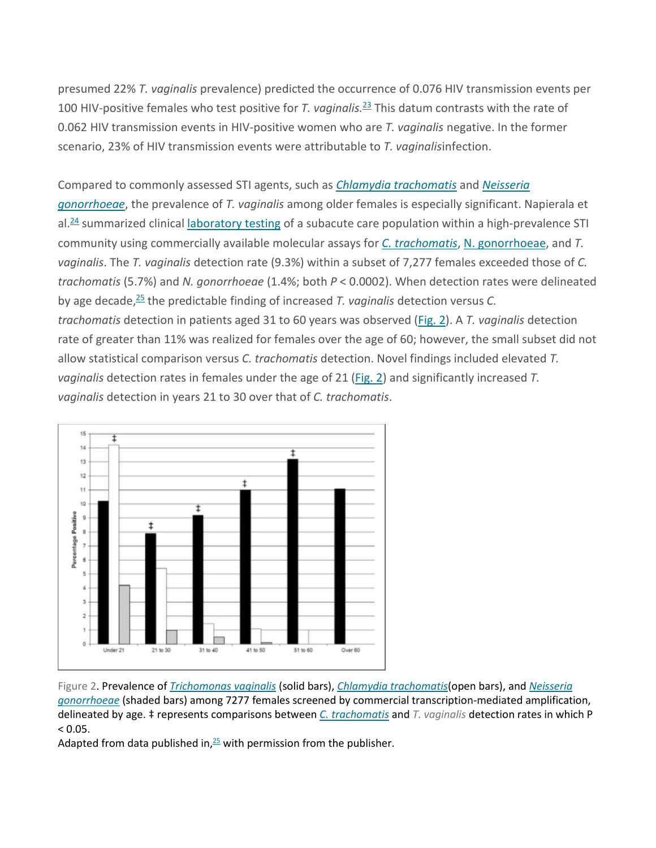presumed 22% *T. vaginalis* prevalence) predicted the occurrence of 0.076 HIV transmission events per 100 HIV-positive females who test positive for *T. vaginalis.* [23](https://www.sciencedirect.com/science/article/pii/S0196439916300733?via%3Dihub#bib23) This datum contrasts with the rate of 0.062 HIV transmission events in HIV-positive women who are *T. vaginalis* negative. In the former scenario, 23% of HIV transmission events were attributable to *T. vaginalis*infection.

#### Compared to commonly assessed STI agents, such as *[Chlamydia trachomatis](https://www.sciencedirect.com/topics/medicine-and-dentistry/chlamydia-trachomatis)* and *[Neisseria](https://www.sciencedirect.com/topics/medicine-and-dentistry/neisseria-gonorrhoeae)*

*[gonorrhoeae](https://www.sciencedirect.com/topics/medicine-and-dentistry/neisseria-gonorrhoeae)*, the prevalence of *T. vaginalis* among older females is especially significant. Napierala et al.<sup>24</sup> summarized clinical *[laboratory testing](https://www.sciencedirect.com/topics/medicine-and-dentistry/laboratory-testing)* of a subacute care population within a high-prevalence STI community using commercially available molecular assays for *[C. trachomatis](https://www.sciencedirect.com/topics/medicine-and-dentistry/chlamydia-trachomatis)*, [N. gonorrhoeae,](https://www.sciencedirect.com/topics/medicine-and-dentistry/neisseria-gonorrhoeae) and *T. vaginalis*. The *T. vaginalis* detection rate (9.3%) within a subset of 7,277 females exceeded those of *C. trachomatis* (5.7%) and *N. gonorrhoeae* (1.4%; both *P* < 0.0002). When detection rates were delineated by age decade, [25](https://www.sciencedirect.com/science/article/pii/S0196439916300733?via%3Dihub#bib25) the predictable finding of increased *T. vaginalis* detection versus *C. trachomatis* detection in patients aged 31 to 60 years was observed [\(Fig. 2\)](https://www.sciencedirect.com/science/article/pii/S0196439916300733?via%3Dihub#fig2). A *T. vaginalis* detection rate of greater than 11% was realized for females over the age of 60; however, the small subset did not allow statistical comparison versus *C. trachomatis* detection. Novel findings included elevated *T. vaginalis* detection rates in females under the age of 21 [\(Fig. 2\)](https://www.sciencedirect.com/science/article/pii/S0196439916300733?via%3Dihub#fig2) and significantly increased *T. vaginalis* detection in years 21 to 30 over that of *C. trachomatis*.



Figure 2. Prevalence of *[Trichomonas vaginalis](https://www.sciencedirect.com/topics/medicine-and-dentistry/trichomonas-vaginalis)* (solid bars), *[Chlamydia trachomatis](https://www.sciencedirect.com/topics/medicine-and-dentistry/chlamydia-trachomatis)*(open bars), and *[Neisseria](https://www.sciencedirect.com/topics/medicine-and-dentistry/neisseria-gonorrhoeae)  [gonorrhoeae](https://www.sciencedirect.com/topics/medicine-and-dentistry/neisseria-gonorrhoeae)* (shaded bars) among 7277 females screened by commercial transcription-mediated amplification, delineated by age. ‡ represents comparisons between *[C. trachomatis](https://www.sciencedirect.com/topics/medicine-and-dentistry/chlamydia-trachomatis)* and *T. vaginalis* detection rates in which P  $< 0.05.$ 

Adapted from data published in, $25$  with permission from the publisher.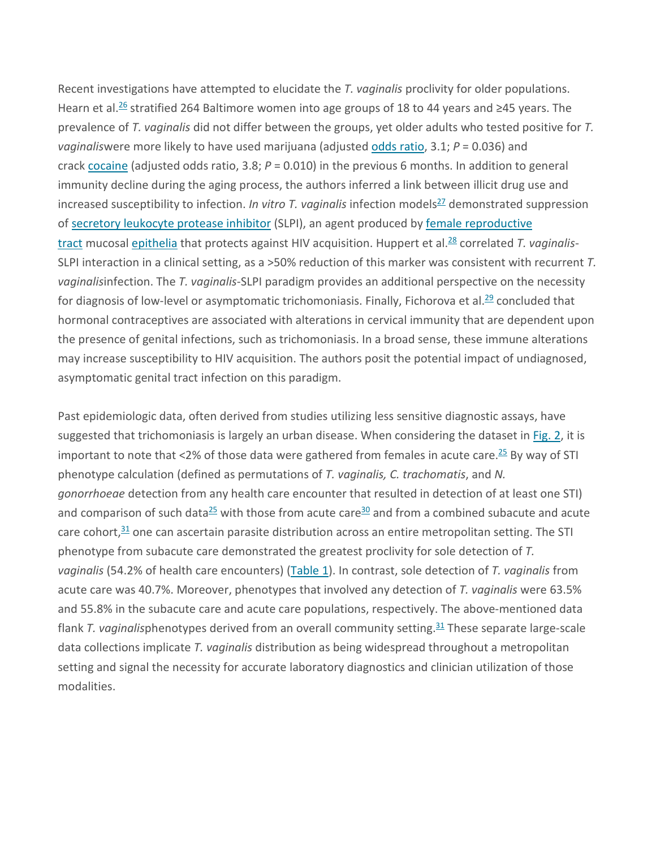Recent investigations have attempted to elucidate the *T. vaginalis* proclivity for older populations. Hearn et al.<sup>26</sup> stratified 264 Baltimore women into age groups of 18 to 44 years and ≥45 years. The prevalence of *T. vaginalis* did not differ between the groups, yet older adults who tested positive for *T. vaginalis*were more likely to have used marijuana (adjusted [odds ratio,](https://www.sciencedirect.com/topics/medicine-and-dentistry/odds-ratio) 3.1; *P* = 0.036) and crack [cocaine](https://www.sciencedirect.com/topics/medicine-and-dentistry/cocaine) (adjusted odds ratio, 3.8; *P* = 0.010) in the previous 6 months. In addition to general immunity decline during the aging process, the authors inferred a link between illicit drug use and increased susceptibility to infection. *In vitro T. vaginalis* infection models<sup>27</sup> demonstrated suppression of [secretory leukocyte protease inhibitor](https://www.sciencedirect.com/topics/medicine-and-dentistry/secretory-leukocyte-protease-inhibitor) (SLPI), an agent produced by female reproductive [tract](https://www.sciencedirect.com/topics/medicine-and-dentistry/female-reproductive-tract) mucosal [epithelia](https://www.sciencedirect.com/topics/medicine-and-dentistry/epithelium) that protects against HIV acquisition. Huppert et al.<sup>28</sup> correlated *T. vaginalis-*SLPI interaction in a clinical setting, as a >50% reduction of this marker was consistent with recurrent *T. vaginalis*infection. The *T. vaginalis*-SLPI paradigm provides an additional perspective on the necessity for diagnosis of low-level or asymptomatic trichomoniasis. Finally, Fichorova et al.<sup>29</sup> concluded that hormonal contraceptives are associated with alterations in cervical immunity that are dependent upon the presence of genital infections, such as trichomoniasis. In a broad sense, these immune alterations may increase susceptibility to HIV acquisition. The authors posit the potential impact of undiagnosed, asymptomatic genital tract infection on this paradigm.

Past epidemiologic data, often derived from studies utilizing less sensitive diagnostic assays, have suggested that trichomoniasis is largely an urban disease. When considering the dataset in [Fig. 2,](https://www.sciencedirect.com/science/article/pii/S0196439916300733?via%3Dihub#fig2) it is important to note that <2% of those data were gathered from females in acute care.<sup>[25](https://www.sciencedirect.com/science/article/pii/S0196439916300733?via%3Dihub#bib25)</sup> By way of STI phenotype calculation (defined as permutations of *T. vaginalis, C. trachomatis*, and *N. gonorrhoeae* detection from any health care encounter that resulted in detection of at least one STI) and comparison of such data<sup>25</sup> with those from acute care<sup>30</sup> and from a combined subacute and acute care cohort,<sup>[31](https://www.sciencedirect.com/science/article/pii/S0196439916300733?via%3Dihub#bib31)</sup> one can ascertain parasite distribution across an entire metropolitan setting. The STI phenotype from subacute care demonstrated the greatest proclivity for sole detection of *T. vaginalis* (54.2% of health care encounters) [\(Table 1\)](https://www.sciencedirect.com/science/article/pii/S0196439916300733?via%3Dihub#tbl1). In contrast, sole detection of *T. vaginalis* from acute care was 40.7%. Moreover, phenotypes that involved any detection of *T. vaginalis* were 63.5% and 55.8% in the subacute care and acute care populations, respectively. The above-mentioned data flank *T. vaginalis*phenotypes derived from an overall community setting.<sup>[31](https://www.sciencedirect.com/science/article/pii/S0196439916300733?via%3Dihub#bib31)</sup> These separate large-scale data collections implicate *T. vaginalis* distribution as being widespread throughout a metropolitan setting and signal the necessity for accurate laboratory diagnostics and clinician utilization of those modalities.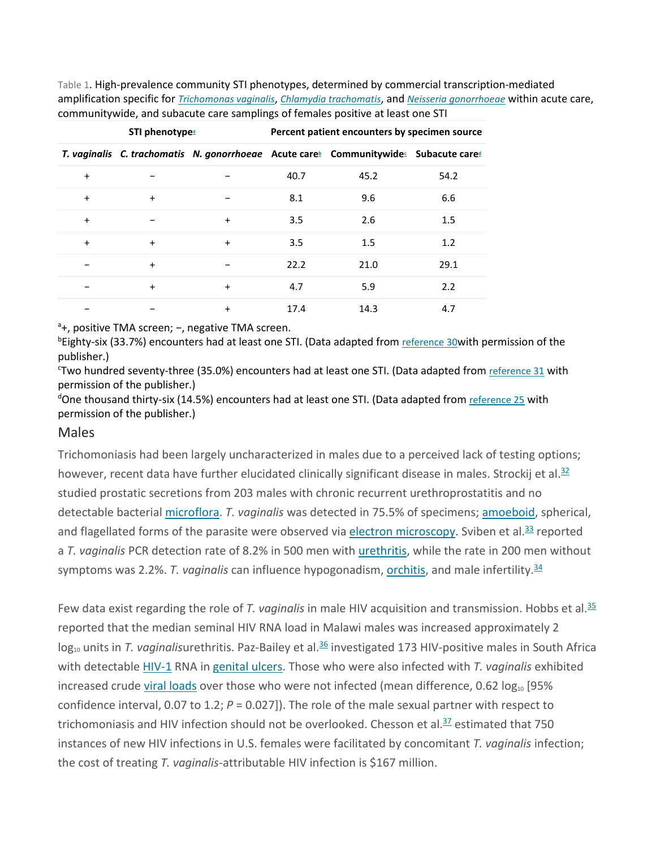Table 1. High-prevalence community STI phenotypes, determined by commercial transcription-mediated amplification specific for *[Trichomonas vaginalis](https://www.sciencedirect.com/topics/medicine-and-dentistry/trichomonas-vaginalis)*, *[Chlamydia trachomatis](https://www.sciencedirect.com/topics/medicine-and-dentistry/chlamydia-trachomatis)*, and *[Neisseria gonorrhoeae](https://www.sciencedirect.com/topics/medicine-and-dentistry/neisseria-gonorrhoeae)* within acute care, communitywide, and subacute care samplings of females positive at least one STI

| STI phenotype <sup>a</sup> |           |           | Percent patient encounters by specimen source |                                                                                                                          |      |
|----------------------------|-----------|-----------|-----------------------------------------------|--------------------------------------------------------------------------------------------------------------------------|------|
|                            |           |           |                                               | T. vaginalis C. trachomatis N. gonorrhoeae Acute care <sup>®</sup> Communitywide <sup>®</sup> Subacute care <sup>®</sup> |      |
| $\ddot{}$                  |           |           | 40.7                                          | 45.2                                                                                                                     | 54.2 |
| $\ddot{}$                  | $\ddot{}$ |           | 8.1                                           | 9.6                                                                                                                      | 6.6  |
| $\ddot{}$                  | -         | $\ddot{}$ | 3.5                                           | 2.6                                                                                                                      | 1.5  |
| $\ddot{}$                  | $\ddot{}$ | $\ddot{}$ | 3.5                                           | 1.5                                                                                                                      | 1.2  |
|                            | $\ddot{}$ |           | 22.2                                          | 21.0                                                                                                                     | 29.1 |
|                            | $\ddot{}$ | $\ddot{}$ | 4.7                                           | 5.9                                                                                                                      | 2.2  |
|                            |           | $\ddot{}$ | 17.4                                          | 14.3                                                                                                                     | 4.7  |

<sup>a</sup>+, positive TMA screen; -, negative TMA screen.

<sup>b</sup>Eighty-six (33.7%) encounters had at least one STI. (Data adapted from [reference 30w](https://www.sciencedirect.com/science/article/pii/S0196439916300733?via%3Dihub#bib30)ith permission of the publisher.)

Two hundred seventy-three (35.0%) encounters had at least one STI. (Data adapted from [reference 31](https://www.sciencedirect.com/science/article/pii/S0196439916300733?via%3Dihub#bib31) with permission of the publisher.)

<sup>d</sup>One thousand thirty-six (14.5%) encounters had at least one STI. (Data adapted from **[reference 25](https://www.sciencedirect.com/science/article/pii/S0196439916300733?via%3Dihub#bib25)** with permission of the publisher.)

#### Males

Trichomoniasis had been largely uncharacterized in males due to a perceived lack of testing options; however, recent data have further elucidated clinically significant disease in males. Strockij et al.<sup>32</sup> studied prostatic secretions from 203 males with chronic recurrent urethroprostatitis and no detectable bacterial [microflora.](https://www.sciencedirect.com/topics/immunology-and-microbiology/microbiome) *T. vaginalis* was detected in 75.5% of specimens; [amoeboid,](https://www.sciencedirect.com/topics/immunology-and-microbiology/amoeba) spherical, and flagellated forms of the parasite were observed via [electron microscopy.](https://www.sciencedirect.com/topics/medicine-and-dentistry/electron-microscope) Sviben et al.<sup>33</sup> reported a *T. vaginalis* PCR detection rate of 8.2% in 500 men with [urethritis,](https://www.sciencedirect.com/topics/immunology-and-microbiology/urethritis) while the rate in 200 men without symptoms was 2.2%. T. vaginalis can influence hypogonadism, <u>orchitis</u>, and male infertility.<sup>[34](https://www.sciencedirect.com/science/article/pii/S0196439916300733?via%3Dihub#bib34)</sup>

Few data exist regarding the role of *T. vaginalis* in male HIV acquisition and transmission. Hobbs et al[.35](https://www.sciencedirect.com/science/article/pii/S0196439916300733?via%3Dihub#bib35) reported that the median seminal HIV RNA load in Malawi males was increased approximately 2 log<sub>10</sub> units in *T. vaginalis*urethritis. Paz-Bailey et al.<sup>36</sup> investigated 173 HIV-positive males in South Africa with detectable [HIV-1](https://www.sciencedirect.com/topics/medicine-and-dentistry/subtypes-of-hiv) RNA in [genital ulcers.](https://www.sciencedirect.com/topics/medicine-and-dentistry/genital-ulcer) Those who were also infected with *T. vaginalis* exhibited increased crude [viral loads](https://www.sciencedirect.com/topics/immunology-and-microbiology/viral-load) over those who were not infected (mean difference, 0.62  $log_{10}$  [95% confidence interval, 0.07 to 1.2; *P* = 0.027]). The role of the male sexual partner with respect to trichomoniasis and HIV infection should not be overlooked. Chesson et al. $\frac{37}{2}$  estimated that 750 instances of new HIV infections in U.S. females were facilitated by concomitant *T. vaginalis* infection; the cost of treating *T. vaginalis*-attributable HIV infection is \$167 million.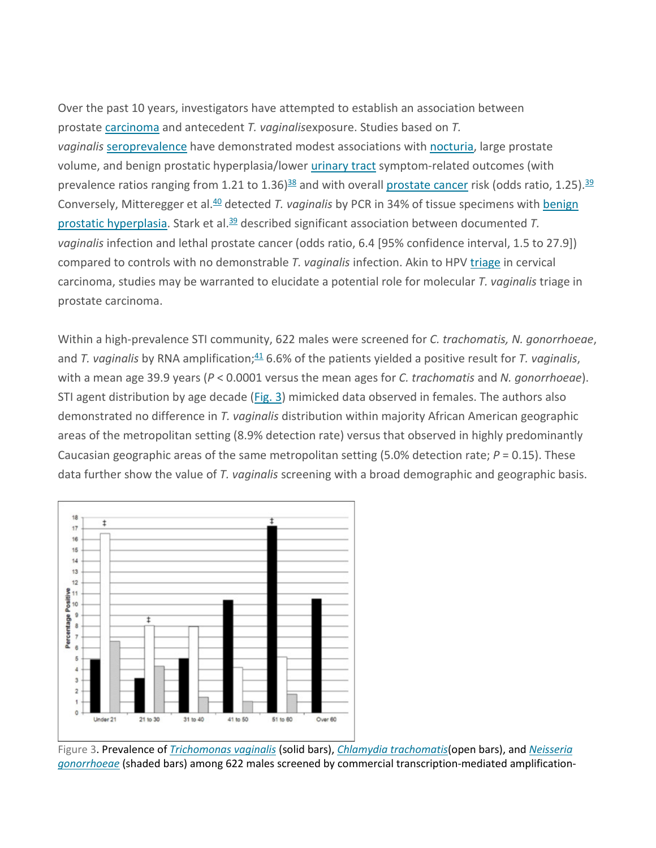Over the past 10 years, investigators have attempted to establish an association between prostate [carcinoma](https://www.sciencedirect.com/topics/medicine-and-dentistry/carcinoma) and antecedent *T. vaginalis*exposure. Studies based on *T.*  vaginalis [seroprevalence](https://www.sciencedirect.com/topics/immunology-and-microbiology/seroprevalence) have demonstrated modest associations with [nocturia,](https://www.sciencedirect.com/topics/medicine-and-dentistry/nocturia) large prostate volume, and benign prostatic hyperplasia/lower [urinary tract](https://www.sciencedirect.com/topics/medicine-and-dentistry/urinary-tract) symptom-related outcomes (with prevalence ratios ranging from 1.21 to 1.36)<sup>38</sup> and with overall **[prostate cancer](https://www.sciencedirect.com/topics/medicine-and-dentistry/prostate-cancer)** risk (odds ratio, 1.25).<sup>[39](https://www.sciencedirect.com/science/article/pii/S0196439916300733?via%3Dihub#bib39)</sup> Conversely, Mitteregger et al[.40](https://www.sciencedirect.com/science/article/pii/S0196439916300733?via%3Dihub#bib40) detected *T. vaginalis* by PCR in 34% of tissue specimens with [benign](https://www.sciencedirect.com/topics/medicine-and-dentistry/benign-prostatic-hyperplasia)  [prostatic hyperplasia.](https://www.sciencedirect.com/topics/medicine-and-dentistry/benign-prostatic-hyperplasia) Stark et al[.39](https://www.sciencedirect.com/science/article/pii/S0196439916300733?via%3Dihub#bib39) described significant association between documented *T. vaginalis* infection and lethal prostate cancer (odds ratio, 6.4 [95% confidence interval, 1.5 to 27.9]) compared to controls with no demonstrable *T. vaginalis* infection. Akin to HPV [triage](https://www.sciencedirect.com/topics/medicine-and-dentistry/triage) in cervical carcinoma, studies may be warranted to elucidate a potential role for molecular *T. vaginalis* triage in prostate carcinoma.

Within a high-prevalence STI community, 622 males were screened for *C. trachomatis, N. gonorrhoeae*, and *T. vaginalis* by RNA amplification; [41](https://www.sciencedirect.com/science/article/pii/S0196439916300733?via%3Dihub#bib41) 6.6% of the patients yielded a positive result for *T. vaginalis*, with a mean age 39.9 years (*P* < 0.0001 versus the mean ages for *C. trachomatis* and *N. gonorrhoeae*). STI agent distribution by age decade [\(Fig. 3\)](https://www.sciencedirect.com/science/article/pii/S0196439916300733?via%3Dihub#fig3) mimicked data observed in females. The authors also demonstrated no difference in *T. vaginalis* distribution within majority African American geographic areas of the metropolitan setting (8.9% detection rate) versus that observed in highly predominantly Caucasian geographic areas of the same metropolitan setting (5.0% detection rate; *P* = 0.15). These data further show the value of *T. vaginalis* screening with a broad demographic and geographic basis.



Figure 3. Prevalence of *[Trichomonas vaginalis](https://www.sciencedirect.com/topics/medicine-and-dentistry/trichomonas-vaginalis)* (solid bars), *[Chlamydia trachomatis](https://www.sciencedirect.com/topics/medicine-and-dentistry/chlamydia-trachomatis)*(open bars), and *[Neisseria](https://www.sciencedirect.com/topics/medicine-and-dentistry/neisseria-gonorrhoeae)  [gonorrhoeae](https://www.sciencedirect.com/topics/medicine-and-dentistry/neisseria-gonorrhoeae)* (shaded bars) among 622 males screened by commercial transcription-mediated amplification-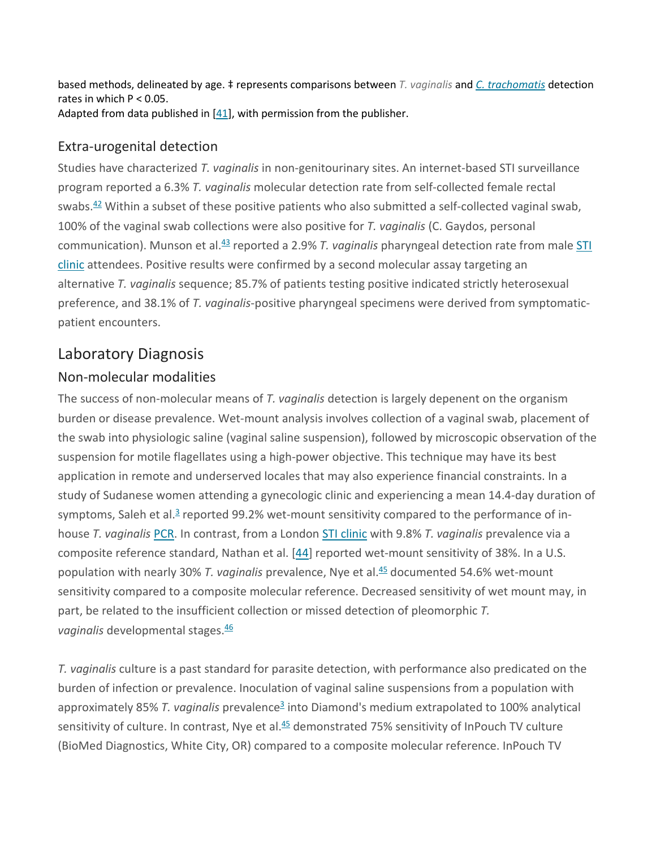based methods, delineated by age. ‡ represents comparisons between *T. vaginalis* and *[C. trachomatis](https://www.sciencedirect.com/topics/medicine-and-dentistry/chlamydia-trachomatis)* detection rates in which  $P < 0.05$ . Adapted from data published in [\[41\]](https://www.sciencedirect.com/science/article/pii/S0196439916300733?via%3Dihub#bib25), with permission from the publisher.

#### Extra-urogenital detection

Studies have characterized *T. vaginalis* in non-genitourinary sites. An internet-based STI surveillance program reported a 6.3% *T. vaginalis* molecular detection rate from self-collected female rectal swabs.<sup>[42](https://www.sciencedirect.com/science/article/pii/S0196439916300733?via%3Dihub#bib42)</sup> Within a subset of these positive patients who also submitted a self-collected vaginal swab, 100% of the vaginal swab collections were also positive for *T. vaginalis* (C. Gaydos, personal communication). Munson et al[.43](https://www.sciencedirect.com/science/article/pii/S0196439916300733?via%3Dihub#bib43) reported a 2.9% *T. vaginalis* pharyngeal detection rate from male [STI](https://www.sciencedirect.com/topics/medicine-and-dentistry/sexual-health-clinic)  [clinic](https://www.sciencedirect.com/topics/medicine-and-dentistry/sexual-health-clinic) attendees. Positive results were confirmed by a second molecular assay targeting an alternative *T. vaginalis* sequence; 85.7% of patients testing positive indicated strictly heterosexual preference, and 38.1% of *T. vaginalis*-positive pharyngeal specimens were derived from symptomaticpatient encounters.

## Laboratory Diagnosis

#### Non-molecular modalities

The success of non-molecular means of *T. vaginalis* detection is largely depenent on the organism burden or disease prevalence. Wet-mount analysis involves collection of a vaginal swab, placement of the swab into physiologic saline (vaginal saline suspension), followed by microscopic observation of the suspension for motile flagellates using a high-power objective. This technique may have its best application in remote and underserved locales that may also experience financial constraints. In a study of Sudanese women attending a gynecologic clinic and experiencing a mean 14.4-day duration of symptoms, Saleh et al. $3$  reported 99.2% wet-mount sensitivity compared to the performance of inhouse *T. vaginalis* [PCR.](https://www.sciencedirect.com/topics/medicine-and-dentistry/polymerase-chain-reaction) In contrast, from a London [STI clinic](https://www.sciencedirect.com/topics/medicine-and-dentistry/sexual-health-clinic) with 9.8% *T. vaginalis* prevalence via a composite reference standard, Nathan et al. [\[44\]](https://www.sciencedirect.com/science/article/pii/S0196439916300733?via%3Dihub#bib44) reported wet-mount sensitivity of 38%. In a U.S. population with nearly 30% *T. vaginalis* prevalence, Nye et al[.45](https://www.sciencedirect.com/science/article/pii/S0196439916300733?via%3Dihub#bib45) documented 54.6% wet-mount sensitivity compared to a composite molecular reference. Decreased sensitivity of wet mount may, in part, be related to the insufficient collection or missed detection of pleomorphic *T. vaginalis* developmental stages. [46](https://www.sciencedirect.com/science/article/pii/S0196439916300733?via%3Dihub#bib46)

*T. vaginalis* culture is a past standard for parasite detection, with performance also predicated on the burden of infection or prevalence. Inoculation of vaginal saline suspensions from a population with approximately 85% *T. vaginalis* prevalenc[e3](https://www.sciencedirect.com/science/article/pii/S0196439916300733?via%3Dihub#bib3) into Diamond's medium extrapolated to 100% analytical sensitivity of culture. In contrast, Nye et al.<sup>45</sup> demonstrated 75% sensitivity of InPouch TV culture (BioMed Diagnostics, White City, OR) compared to a composite molecular reference. InPouch TV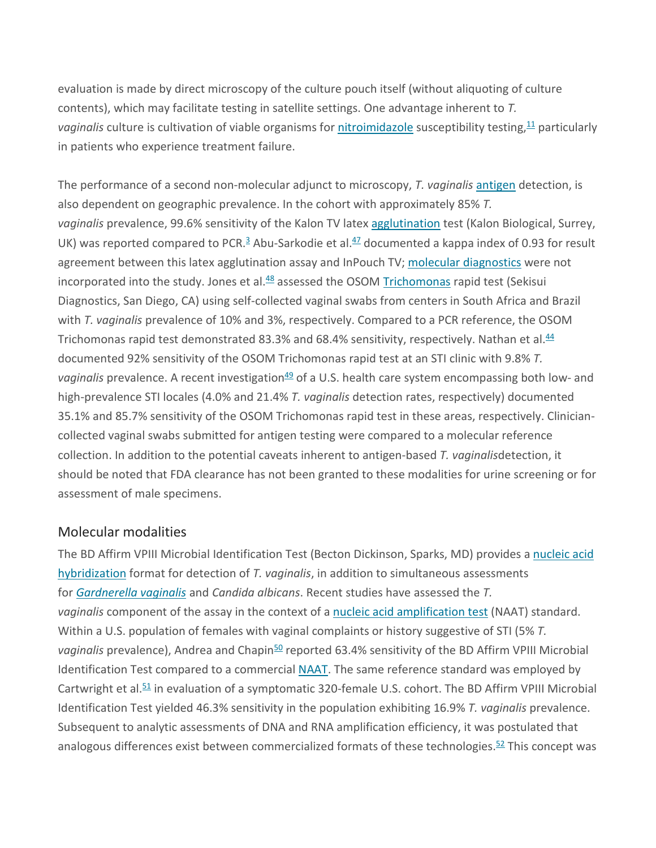evaluation is made by direct microscopy of the culture pouch itself (without aliquoting of culture contents), which may facilitate testing in satellite settings. One advantage inherent to *T.*  vaginalis culture is cultivation of viable organisms for **[nitroimidazole](https://www.sciencedirect.com/topics/medicine-and-dentistry/nitroimidazoles)** susceptibility testing,<sup>[11](https://www.sciencedirect.com/science/article/pii/S0196439916300733?via%3Dihub#bib11)</sup> particularly in patients who experience treatment failure.

The performance of a second non-molecular adjunct to microscopy, *T. vaginalis* [antigen](https://www.sciencedirect.com/topics/medicine-and-dentistry/antigen) detection, is also dependent on geographic prevalence. In the cohort with approximately 85% *T. vaginalis* prevalence, 99.6% sensitivity of the Kalon TV latex [agglutination](https://www.sciencedirect.com/topics/immunology-and-microbiology/agglutination-biology) test (Kalon Biological, Surrey, UK) was reported compared to PCR.<sup>[3](https://www.sciencedirect.com/science/article/pii/S0196439916300733?via%3Dihub#bib3)</sup> Abu-Sarkodie et al.<sup>47</sup> documented a kappa index of 0.93 for result agreement between this latex agglutination assay and InPouch TV; [molecular diagnostics](https://www.sciencedirect.com/topics/medicine-and-dentistry/molecular-diagnostics) were not incorporated into the study. Jones et al.<sup>48</sup> assessed the OSOM [Trichomonas](https://www.sciencedirect.com/topics/medicine-and-dentistry/trichomonas) rapid test (Sekisui Diagnostics, San Diego, CA) using self-collected vaginal swabs from centers in South Africa and Brazil with *T. vaginalis* prevalence of 10% and 3%, respectively. Compared to a PCR reference, the OSOM Trichomonas rapid test demonstrated 83.3% and 68.4% sensitivity, respectively. Nathan et al.<sup>44</sup> documented 92% sensitivity of the OSOM Trichomonas rapid test at an STI clinic with 9.8% *T.*  vaginalis prevalence. A recent investigation<sup>49</sup> of a U.S. health care system encompassing both low- and high-prevalence STI locales (4.0% and 21.4% *T. vaginalis* detection rates, respectively) documented 35.1% and 85.7% sensitivity of the OSOM Trichomonas rapid test in these areas, respectively. Cliniciancollected vaginal swabs submitted for antigen testing were compared to a molecular reference collection. In addition to the potential caveats inherent to antigen-based *T. vaginalis*detection, it should be noted that FDA clearance has not been granted to these modalities for urine screening or for assessment of male specimens.

#### Molecular modalities

The BD Affirm VPIII Microbial Identification Test (Becton Dickinson, Sparks, MD) provides a [nucleic acid](https://www.sciencedirect.com/topics/medicine-and-dentistry/nucleic-acid-thermodynamics)  [hybridization](https://www.sciencedirect.com/topics/medicine-and-dentistry/nucleic-acid-thermodynamics) format for detection of *T. vaginalis*, in addition to simultaneous assessments for *[Gardnerella vaginalis](https://www.sciencedirect.com/topics/medicine-and-dentistry/gardnerella-vaginalis)* and *Candida albicans*. Recent studies have assessed the *T. vaginalis* component of the assay in the context of a [nucleic acid amplification test](https://www.sciencedirect.com/topics/medicine-and-dentistry/nucleic-acid-test) (NAAT) standard. Within a U.S. population of females with vaginal complaints or history suggestive of STI (5% *T.*  vaginalis prevalence), Andrea and Chapin<sup>50</sup> reported 63.4% sensitivity of the BD Affirm VPIII Microbial Identification Test compared to a commercial [NAAT.](https://www.sciencedirect.com/topics/medicine-and-dentistry/nucleic-acid-test) The same reference standard was employed by Cartwright et al. $51$  in evaluation of a symptomatic 320-female U.S. cohort. The BD Affirm VPIII Microbial Identification Test yielded 46.3% sensitivity in the population exhibiting 16.9% *T. vaginalis* prevalence. Subsequent to analytic assessments of DNA and RNA amplification efficiency, it was postulated that analogous differences exist between commercialized formats of these technologies.<sup>[52](https://www.sciencedirect.com/science/article/pii/S0196439916300733?via%3Dihub#bib52)</sup> This concept was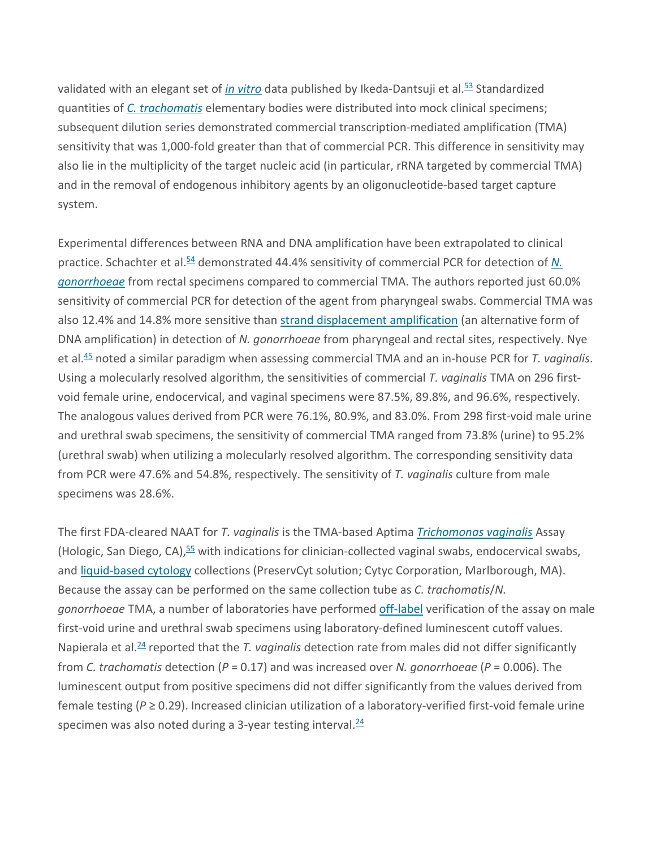validated with an elegant set of *[in vitro](https://www.sciencedirect.com/topics/medicine-and-dentistry/in-vitro)* data published by Ikeda-Dantsuji et al[.53](https://www.sciencedirect.com/science/article/pii/S0196439916300733?via%3Dihub#bib53) Standardized quantities of *[C. trachomatis](https://www.sciencedirect.com/topics/medicine-and-dentistry/chlamydia-trachomatis)* elementary bodies were distributed into mock clinical specimens; subsequent dilution series demonstrated commercial transcription-mediated amplification (TMA) sensitivity that was 1,000-fold greater than that of commercial PCR. This difference in sensitivity may also lie in the multiplicity of the target nucleic acid (in particular, rRNA targeted by commercial TMA) and in the removal of endogenous inhibitory agents by an oligonucleotide-based target capture system.

Experimental differences between RNA and DNA amplification have been extrapolated to clinical practice. Schachter et al.<sup>54</sup> demonstrated 44.4% sensitivity of commercial PCR for detection of N. *[gonorrhoeae](https://www.sciencedirect.com/topics/medicine-and-dentistry/neisseria-gonorrhoeae)* from rectal specimens compared to commercial TMA. The authors reported just 60.0% sensitivity of commercial PCR for detection of the agent from pharyngeal swabs. Commercial TMA was also 12.4% and 14.8% more sensitive than [strand displacement amplification](https://www.sciencedirect.com/topics/medicine-and-dentistry/multiple-displacement-amplification) (an alternative form of DNA amplification) in detection of *N. gonorrhoeae* from pharyngeal and rectal sites, respectively. Nye et al[.45](https://www.sciencedirect.com/science/article/pii/S0196439916300733?via%3Dihub#bib45) noted a similar paradigm when assessing commercial TMA and an in-house PCR for *T. vaginalis*. Using a molecularly resolved algorithm, the sensitivities of commercial *T. vaginalis* TMA on 296 firstvoid female urine, endocervical, and vaginal specimens were 87.5%, 89.8%, and 96.6%, respectively. The analogous values derived from PCR were 76.1%, 80.9%, and 83.0%. From 298 first-void male urine and urethral swab specimens, the sensitivity of commercial TMA ranged from 73.8% (urine) to 95.2% (urethral swab) when utilizing a molecularly resolved algorithm. The corresponding sensitivity data from PCR were 47.6% and 54.8%, respectively. The sensitivity of *T. vaginalis* culture from male specimens was 28.6%.

The first FDA-cleared NAAT for *T. vaginalis* is the TMA-based Aptima *[Trichomonas vaginalis](https://www.sciencedirect.com/topics/medicine-and-dentistry/trichomonas-vaginalis)* Assay (Hologic, San Diego, CA),<sup>[55](https://www.sciencedirect.com/science/article/pii/S0196439916300733?via%3Dihub#bib55)</sup> with indications for clinician-collected vaginal swabs, endocervical swabs, and [liquid-based cytology](https://www.sciencedirect.com/topics/medicine-and-dentistry/liquid-based-cytology) collections (PreservCyt solution; Cytyc Corporation, Marlborough, MA). Because the assay can be performed on the same collection tube as *C. trachomatis*/*N. gonorrhoeae* TMA, a number of laboratories have performed [off-label](https://www.sciencedirect.com/topics/medicine-and-dentistry/off-label-use) verification of the assay on male first-void urine and urethral swab specimens using laboratory-defined luminescent cutoff values. Napierala et al[.24](https://www.sciencedirect.com/science/article/pii/S0196439916300733?via%3Dihub#bib24) reported that the *T. vaginalis* detection rate from males did not differ significantly from *C. trachomatis* detection (*P* = 0.17) and was increased over *N. gonorrhoeae* (*P* = 0.006). The luminescent output from positive specimens did not differ significantly from the values derived from female testing (*P* ≥ 0.29). Increased clinician utilization of a laboratory-verified first-void female urine specimen was also noted during a 3-year testing interval.<sup>[24](https://www.sciencedirect.com/science/article/pii/S0196439916300733?via%3Dihub#bib24)</sup>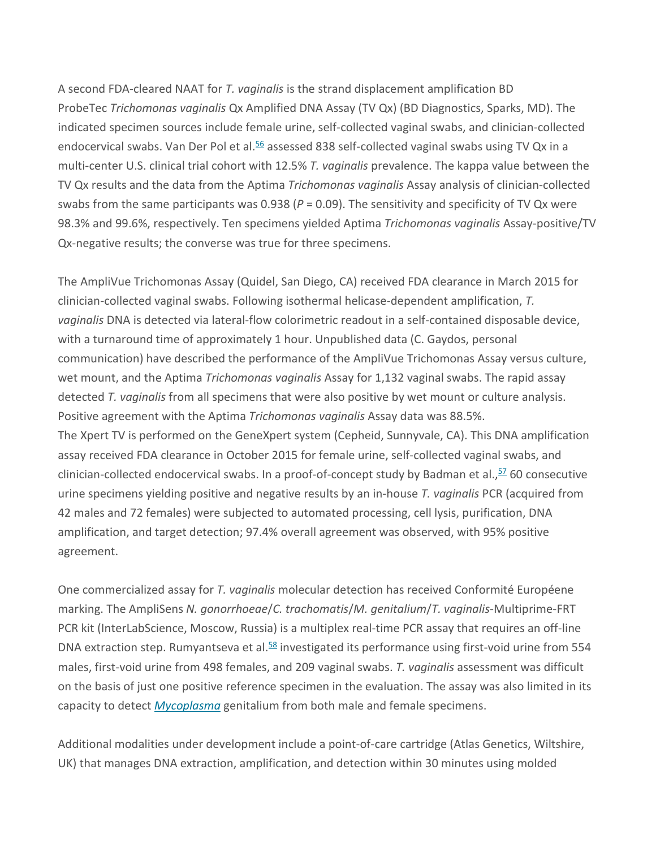A second FDA-cleared NAAT for *T. vaginalis* is the strand displacement amplification BD ProbeTec *Trichomonas vaginalis* Qx Amplified DNA Assay (TV Qx) (BD Diagnostics, Sparks, MD). The indicated specimen sources include female urine, self-collected vaginal swabs, and clinician-collected endocervical swabs. Van Der Pol et al.<sup>56</sup> assessed 838 self-collected vaginal swabs using TV Qx in a multi-center U.S. clinical trial cohort with 12.5% *T. vaginalis* prevalence. The kappa value between the TV Qx results and the data from the Aptima *Trichomonas vaginalis* Assay analysis of clinician-collected swabs from the same participants was 0.938 (*P* = 0.09). The sensitivity and specificity of TV Qx were 98.3% and 99.6%, respectively. Ten specimens yielded Aptima *Trichomonas vaginalis* Assay-positive/TV Qx-negative results; the converse was true for three specimens.

The AmpliVue Trichomonas Assay (Quidel, San Diego, CA) received FDA clearance in March 2015 for clinician-collected vaginal swabs. Following isothermal helicase-dependent amplification, *T. vaginalis* DNA is detected via lateral-flow colorimetric readout in a self-contained disposable device, with a turnaround time of approximately 1 hour. Unpublished data (C. Gaydos, personal communication) have described the performance of the AmpliVue Trichomonas Assay versus culture, wet mount, and the Aptima *Trichomonas vaginalis* Assay for 1,132 vaginal swabs. The rapid assay detected *T. vaginalis* from all specimens that were also positive by wet mount or culture analysis. Positive agreement with the Aptima *Trichomonas vaginalis* Assay data was 88.5%. The Xpert TV is performed on the GeneXpert system (Cepheid, Sunnyvale, CA). This DNA amplification assay received FDA clearance in October 2015 for female urine, self-collected vaginal swabs, and clinician-collected endocervical swabs. In a proof-of-concept study by Badman et al., [57](https://www.sciencedirect.com/science/article/pii/S0196439916300733?via%3Dihub#bib57) 60 consecutive urine specimens yielding positive and negative results by an in-house *T. vaginalis* PCR (acquired from 42 males and 72 females) were subjected to automated processing, cell lysis, purification, DNA amplification, and target detection; 97.4% overall agreement was observed, with 95% positive agreement.

One commercialized assay for *T. vaginalis* molecular detection has received Conformité Européene marking. The AmpliSens *N. gonorrhoeae*/*C. trachomatis*/*M. genitalium*/*T. vaginalis*-Multiprime-FRT PCR kit (InterLabScience, Moscow, Russia) is a multiplex real-time PCR assay that requires an off-line DNA extraction step. Rumyantseva et al.<sup>58</sup> investigated its performance using first-void urine from 554 males, first-void urine from 498 females, and 209 vaginal swabs. *T. vaginalis* assessment was difficult on the basis of just one positive reference specimen in the evaluation. The assay was also limited in its capacity to detect *[Mycoplasma](https://www.sciencedirect.com/topics/medicine-and-dentistry/mycoplasma)* genitalium from both male and female specimens.

Additional modalities under development include a point-of-care cartridge (Atlas Genetics, Wiltshire, UK) that manages DNA extraction, amplification, and detection within 30 minutes using molded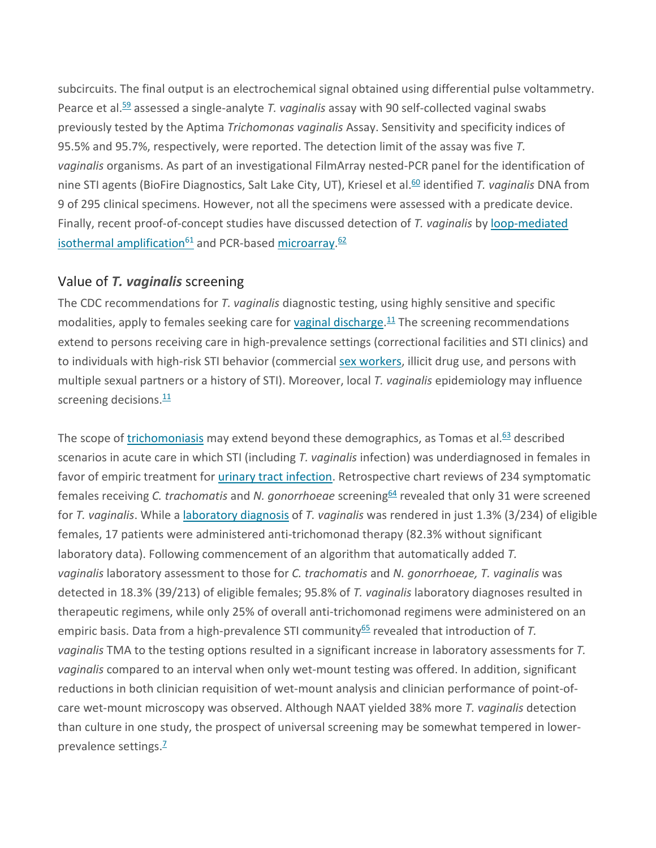subcircuits. The final output is an electrochemical signal obtained using differential pulse voltammetry. Pearce et al[.59](https://www.sciencedirect.com/science/article/pii/S0196439916300733?via%3Dihub#bib59) assessed a single-analyte *T. vaginalis* assay with 90 self-collected vaginal swabs previously tested by the Aptima *Trichomonas vaginalis* Assay. Sensitivity and specificity indices of 95.5% and 95.7%, respectively, were reported. The detection limit of the assay was five *T. vaginalis* organisms. As part of an investigational FilmArray nested-PCR panel for the identification of nine STI agents (BioFire Diagnostics, Salt Lake City, UT), Kriesel et al.<sup>60</sup> identified *T. vaginalis* DNA from 9 of 295 clinical specimens. However, not all the specimens were assessed with a predicate device. Finally, recent proof-of-concept studies have discussed detection of *T. vaginalis* by [loop-mediated](https://www.sciencedirect.com/topics/medicine-and-dentistry/loop-mediated-isothermal-amplification)  [isothermal amplification](https://www.sciencedirect.com/topics/medicine-and-dentistry/loop-mediated-isothermal-amplification)<sup>[61](https://www.sciencedirect.com/science/article/pii/S0196439916300733?via%3Dihub#bib61)</sup> and PCR-based [microarray.](https://www.sciencedirect.com/topics/medicine-and-dentistry/microarray)<sup>[62](https://www.sciencedirect.com/science/article/pii/S0196439916300733?via%3Dihub#bib62)</sup>

#### Value of *T. vaginalis* screening

The CDC recommendations for *T. vaginalis* diagnostic testing, using highly sensitive and specific modalities, apply to females seeking care for [vaginal discharge.](https://www.sciencedirect.com/topics/medicine-and-dentistry/vaginal-discharge)<sup>[11](https://www.sciencedirect.com/science/article/pii/S0196439916300733?via%3Dihub#bib11)</sup> The screening recommendations extend to persons receiving care in high-prevalence settings (correctional facilities and STI clinics) and to individuals with high-risk STI behavior (commercial [sex workers,](https://www.sciencedirect.com/topics/medicine-and-dentistry/sex-worker) illicit drug use, and persons with multiple sexual partners or a history of STI). Moreover, local *T. vaginalis* epidemiology may influence screening decisions.<sup>[11](https://www.sciencedirect.com/science/article/pii/S0196439916300733?via%3Dihub#bib11)</sup>

The scope of [trichomoniasis](https://www.sciencedirect.com/topics/medicine-and-dentistry/trichomoniasis) may extend beyond these demographics, as Tomas et al. $63$  described scenarios in acute care in which STI (including *T. vaginalis* infection) was underdiagnosed in females in favor of empiric treatment for *urinary tract infection*. Retrospective chart reviews of 234 symptomatic females receiving *C. trachomatis* and *N. gonorrhoeae* screening<sup>64</sup> revealed that only 31 were screened for *T. vaginalis*. While a [laboratory diagnosis](https://www.sciencedirect.com/topics/medicine-and-dentistry/laboratory-diagnosis) of *T. vaginalis* was rendered in just 1.3% (3/234) of eligible females, 17 patients were administered anti-trichomonad therapy (82.3% without significant laboratory data). Following commencement of an algorithm that automatically added *T. vaginalis* laboratory assessment to those for *C. trachomatis* and *N. gonorrhoeae, T. vaginalis* was detected in 18.3% (39/213) of eligible females; 95.8% of *T. vaginalis* laboratory diagnoses resulted in therapeutic regimens, while only 25% of overall anti-trichomonad regimens were administered on an empiric basis. Data from a high-prevalence STI community<sup>65</sup> revealed that introduction of *T*. *vaginalis* TMA to the testing options resulted in a significant increase in laboratory assessments for *T. vaginalis* compared to an interval when only wet-mount testing was offered. In addition, significant reductions in both clinician requisition of wet-mount analysis and clinician performance of point-ofcare wet-mount microscopy was observed. Although NAAT yielded 38% more *T. vaginalis* detection than culture in one study, the prospect of universal screening may be somewhat tempered in lower-prevalence settings.<sup>[7](https://www.sciencedirect.com/science/article/pii/S0196439916300733?via%3Dihub#bib7)</sup>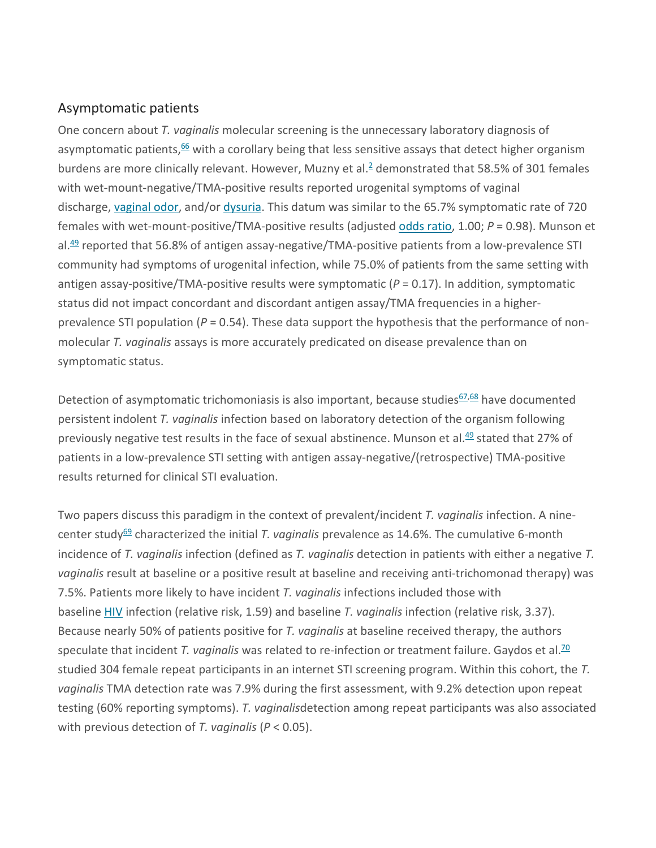#### Asymptomatic patients

One concern about *T. vaginalis* molecular screening is the unnecessary laboratory diagnosis of asymptomatic patients,<sup>[66](https://www.sciencedirect.com/science/article/pii/S0196439916300733?via%3Dihub#bib66)</sup> with a corollary being that less sensitive assays that detect higher organism burdens are more clinically relevant. However, Muzny et al. $\frac{2}{3}$  demonstrated that 58.5% of 301 females with wet-mount-negative/TMA-positive results reported urogenital symptoms of vaginal discharge, [vaginal odor,](https://www.sciencedirect.com/topics/immunology-and-microbiology/vaginitis) and/or [dysuria.](https://www.sciencedirect.com/topics/medicine-and-dentistry/dysuria) This datum was similar to the 65.7% symptomatic rate of 720 females with wet-mount-positive/TMA-positive results (adjusted [odds ratio,](https://www.sciencedirect.com/topics/medicine-and-dentistry/odds-ratio) 1.00; *P* = 0.98). Munson et al.<sup>49</sup> reported that 56.8% of antigen assay-negative/TMA-positive patients from a low-prevalence STI community had symptoms of urogenital infection, while 75.0% of patients from the same setting with antigen assay-positive/TMA-positive results were symptomatic  $(P = 0.17)$ . In addition, symptomatic status did not impact concordant and discordant antigen assay/TMA frequencies in a higherprevalence STI population (*P* = 0.54). These data support the hypothesis that the performance of nonmolecular *T. vaginalis* assays is more accurately predicated on disease prevalence than on symptomatic status.

Detection of asymptomatic trichomoniasis is also important, because studies $67,68$  $67,68$  have documented persistent indolent *T. vaginalis* infection based on laboratory detection of the organism following previously negative test results in the face of sexual abstinence. Munson et al[.49](https://www.sciencedirect.com/science/article/pii/S0196439916300733?via%3Dihub#bib49) stated that 27% of patients in a low-prevalence STI setting with antigen assay-negative/(retrospective) TMA-positive results returned for clinical STI evaluation.

Two papers discuss this paradigm in the context of prevalent/incident *T. vaginalis* infection. A ninecenter study<sup>69</sup> characterized the initial *T. vaginalis* prevalence as 14.6%. The cumulative 6-month incidence of *T. vaginalis* infection (defined as *T. vaginalis* detection in patients with either a negative *T. vaginalis* result at baseline or a positive result at baseline and receiving anti-trichomonad therapy) was 7.5%. Patients more likely to have incident *T. vaginalis* infections included those with baseline [HIV](https://www.sciencedirect.com/topics/medicine-and-dentistry/human-immunodeficiency-virus) infection (relative risk, 1.59) and baseline *T. vaginalis* infection (relative risk, 3.37). Because nearly 50% of patients positive for *T. vaginalis* at baseline received therapy, the authors speculate that incident *T. vaginalis* was related to re-infection or treatment failure. Gaydos et al.<sup>70</sup> studied 304 female repeat participants in an internet STI screening program. Within this cohort, the *T. vaginalis* TMA detection rate was 7.9% during the first assessment, with 9.2% detection upon repeat testing (60% reporting symptoms). *T. vaginalis*detection among repeat participants was also associated with previous detection of *T. vaginalis* (*P* < 0.05).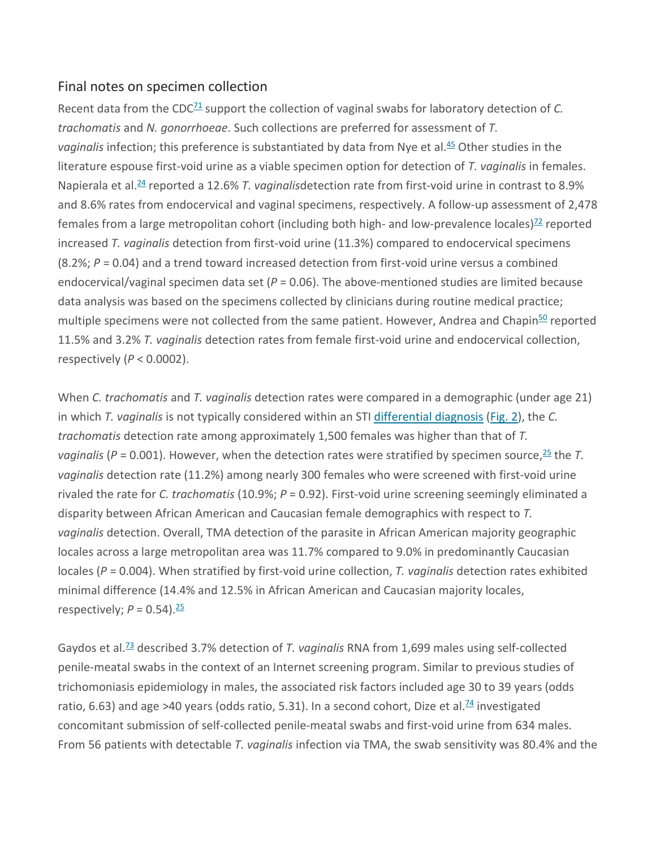#### Final notes on specimen collection

Recent data from the CDC<sup>71</sup> support the collection of vaginal swabs for laboratory detection of *C*. *trachomatis* and *N. gonorrhoeae*. Such collections are preferred for assessment of *T.*  vaginalis infection; this preference is substantiated by data from Nye et al.<sup>45</sup> Other studies in the literature espouse first-void urine as a viable specimen option for detection of *T. vaginalis* in females. Napierala et al[.24](https://www.sciencedirect.com/science/article/pii/S0196439916300733?via%3Dihub#bib24) reported a 12.6% *T. vaginalis*detection rate from first-void urine in contrast to 8.9% and 8.6% rates from endocervical and vaginal specimens, respectively. A follow-up assessment of 2,478 females from a large metropolitan cohort (including both high- and low-prevalence locales) $<sup>72</sup>$  reported</sup> increased *T. vaginalis* detection from first-void urine (11.3%) compared to endocervical specimens (8.2%; *P* = 0.04) and a trend toward increased detection from first-void urine versus a combined endocervical/vaginal specimen data set (*P* = 0.06). The above-mentioned studies are limited because data analysis was based on the specimens collected by clinicians during routine medical practice; multiple specimens were not collected from the same patient. However, Andrea and Chapin<sup>50</sup> reported 11.5% and 3.2% *T. vaginalis* detection rates from female first-void urine and endocervical collection, respectively (*P* < 0.0002).

When *C. trachomatis* and *T. vaginalis* detection rates were compared in a demographic (under age 21) in which *T. vaginalis* is not typically considered within an STI [differential diagnosis](https://www.sciencedirect.com/topics/medicine-and-dentistry/differential-diagnosis) [\(Fig. 2\)](https://www.sciencedirect.com/science/article/pii/S0196439916300733?via%3Dihub#fig2), the *C. trachomatis* detection rate among approximately 1,500 females was higher than that of *T. vaginalis* (*P* = 0.001). However, when the detection rates were stratified by specimen source, [25](https://www.sciencedirect.com/science/article/pii/S0196439916300733?via%3Dihub#bib25) the *T. vaginalis* detection rate (11.2%) among nearly 300 females who were screened with first-void urine rivaled the rate for *C. trachomatis* (10.9%; *P* = 0.92). First-void urine screening seemingly eliminated a disparity between African American and Caucasian female demographics with respect to *T. vaginalis* detection. Overall, TMA detection of the parasite in African American majority geographic locales across a large metropolitan area was 11.7% compared to 9.0% in predominantly Caucasian locales (*P* = 0.004). When stratified by first-void urine collection, *T. vaginalis* detection rates exhibited minimal difference (14.4% and 12.5% in African American and Caucasian majority locales, respectively;  $P = 0.54$ ).<sup>[25](https://www.sciencedirect.com/science/article/pii/S0196439916300733?via%3Dihub#bib25)</sup>

Gaydos et al[.73](https://www.sciencedirect.com/science/article/pii/S0196439916300733?via%3Dihub#bib73) described 3.7% detection of *T. vaginalis* RNA from 1,699 males using self-collected penile-meatal swabs in the context of an Internet screening program. Similar to previous studies of trichomoniasis epidemiology in males, the associated risk factors included age 30 to 39 years (odds ratio, 6.63) and age >40 years (odds ratio, 5.31). In a second cohort, Dize et al. $\frac{74}{1}$  investigated concomitant submission of self-collected penile-meatal swabs and first-void urine from 634 males. From 56 patients with detectable *T. vaginalis* infection via TMA, the swab sensitivity was 80.4% and the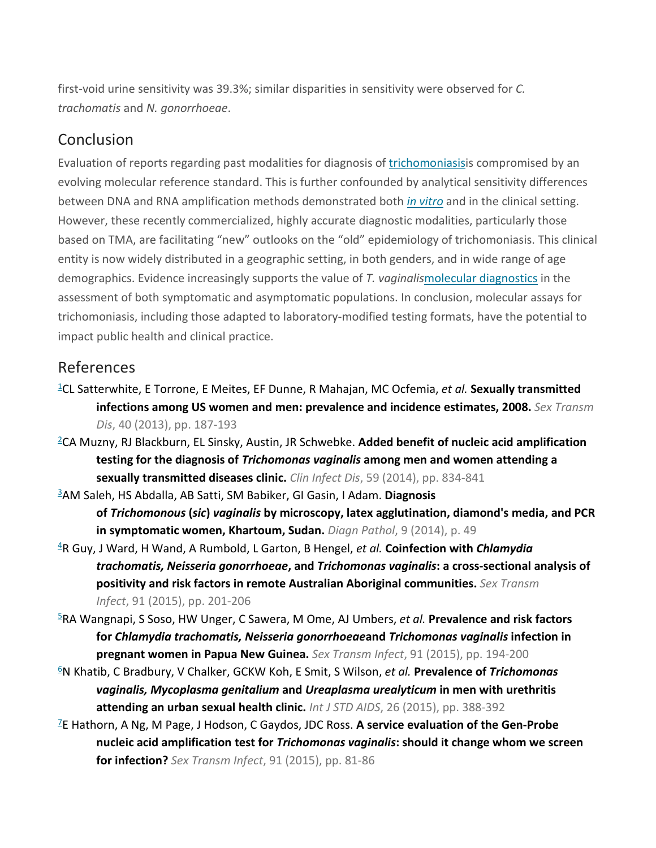first-void urine sensitivity was 39.3%; similar disparities in sensitivity were observed for *C. trachomatis* and *N. gonorrhoeae*.

## Conclusion

Evaluation of reports regarding past modalities for diagnosis of [trichomoniasisi](https://www.sciencedirect.com/topics/medicine-and-dentistry/trichomoniasis)s compromised by an evolving molecular reference standard. This is further confounded by analytical sensitivity differences between DNA and RNA amplification methods demonstrated both *[in vitro](https://www.sciencedirect.com/topics/medicine-and-dentistry/in-vitro)* and in the clinical setting. However, these recently commercialized, highly accurate diagnostic modalities, particularly those based on TMA, are facilitating "new" outlooks on the "old" epidemiology of trichomoniasis. This clinical entity is now widely distributed in a geographic setting, in both genders, and in wide range of age demographics. Evidence increasingly supports the value of *T. vaginalis*[molecular diagnostics](https://www.sciencedirect.com/topics/medicine-and-dentistry/molecular-diagnostics) in the assessment of both symptomatic and asymptomatic populations. In conclusion, molecular assays for trichomoniasis, including those adapted to laboratory-modified testing formats, have the potential to impact public health and clinical practice.

## References

- [1C](https://www.sciencedirect.com/science/article/pii/S0196439916300733?via%3Dihub#bbib1)L Satterwhite, E Torrone, E Meites, EF Dunne, R Mahajan, MC Ocfemia, *et al.* **Sexually transmitted infections among US women and men: prevalence and incidence estimates, 2008.** *Sex Transm Dis*, 40 (2013), pp. 187-193
- [2C](https://www.sciencedirect.com/science/article/pii/S0196439916300733?via%3Dihub#bbib2)A Muzny, RJ Blackburn, EL Sinsky, Austin, JR Schwebke. **Added benefit of nucleic acid amplification testing for the diagnosis of** *Trichomonas vaginalis* **among men and women attending a sexually transmitted diseases clinic.** *Clin Infect Dis*, 59 (2014), pp. 834-841
- [3A](https://www.sciencedirect.com/science/article/pii/S0196439916300733?via%3Dihub#bbib3)M Saleh, HS Abdalla, AB Satti, SM Babiker, GI Gasin, I Adam. **Diagnosis of** *Trichomonous* **(***sic***)** *vaginalis* **by microscopy, latex agglutination, diamond's media, and PCR in symptomatic women, Khartoum, Sudan.** *Diagn Pathol*, 9 (2014), p. 49
- [4R](https://www.sciencedirect.com/science/article/pii/S0196439916300733?via%3Dihub#bbib4) Guy, J Ward, H Wand, A Rumbold, L Garton, B Hengel, *et al.* **Coinfection with** *Chlamydia trachomatis, Neisseria gonorrhoeae***, and** *Trichomonas vaginalis***: a cross-sectional analysis of positivity and risk factors in remote Australian Aboriginal communities.** *Sex Transm Infect*, 91 (2015), pp. 201-206
- [5R](https://www.sciencedirect.com/science/article/pii/S0196439916300733?via%3Dihub#bbib5)A Wangnapi, S Soso, HW Unger, C Sawera, M Ome, AJ Umbers, *et al.* **Prevalence and risk factors for** *Chlamydia trachomatis, Neisseria gonorrhoeae***and** *Trichomonas vaginalis* **infection in pregnant women in Papua New Guinea.** *Sex Transm Infect*, 91 (2015), pp. 194-200
- [6N](https://www.sciencedirect.com/science/article/pii/S0196439916300733?via%3Dihub#bbib6) Khatib, C Bradbury, V Chalker, GCKW Koh, E Smit, S Wilson, *et al.* **Prevalence of** *Trichomonas vaginalis, Mycoplasma genitalium* **and** *Ureaplasma urealyticum* **in men with urethritis attending an urban sexual health clinic.** *Int J STD AIDS*, 26 (2015), pp. 388-392
- [7E](https://www.sciencedirect.com/science/article/pii/S0196439916300733?via%3Dihub#bbib7) Hathorn, A Ng, M Page, J Hodson, C Gaydos, JDC Ross. **A service evaluation of the Gen-Probe nucleic acid amplification test for** *Trichomonas vaginalis***: should it change whom we screen for infection?** *Sex Transm Infect*, 91 (2015), pp. 81-86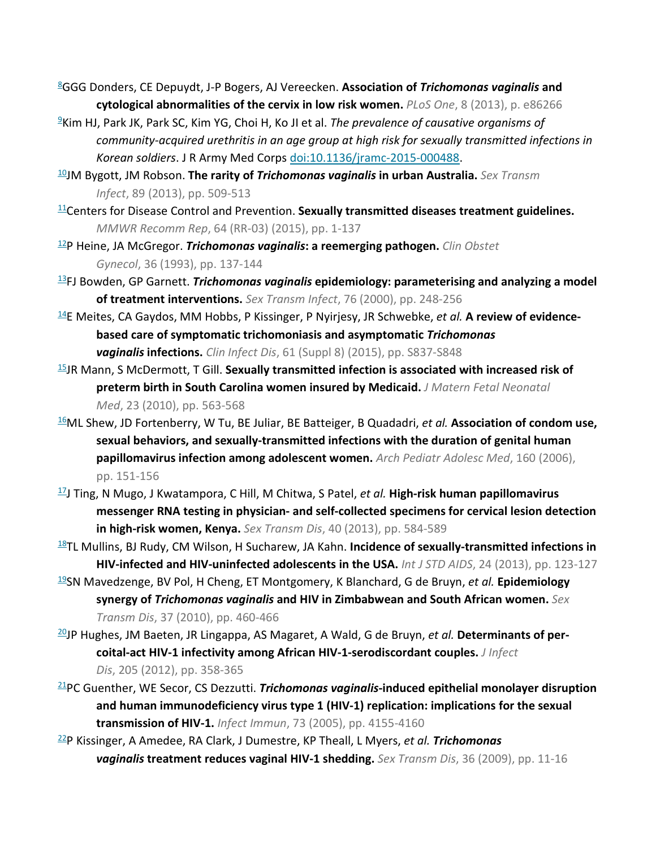- [8G](https://www.sciencedirect.com/science/article/pii/S0196439916300733?via%3Dihub#bbib8)GG Donders, CE Depuydt, J-P Bogers, AJ Vereecken. **Association of** *Trichomonas vaginalis* **and cytological abnormalities of the cervix in low risk women.** *PLoS One*, 8 (2013), p. e86266
- [9K](https://www.sciencedirect.com/science/article/pii/S0196439916300733?via%3Dihub#bbib9)im HJ, Park JK, Park SC, Kim YG, Choi H, Ko JI et al. *The prevalence of causative organisms of community-acquired urethritis in an age group at high risk for sexually transmitted infections in Korean soldiers*. J R Army Med Corps [doi:10.1136/jramc-2015-000488.](http://dx.doi.org/10.1136/jramc-2015-000488)
- [10J](https://www.sciencedirect.com/science/article/pii/S0196439916300733?via%3Dihub#bbib10)M Bygott, JM Robson. **The rarity of** *Trichomonas vaginalis* **in urban Australia.** *Sex Transm Infect*, 89 (2013), pp. 509-513
- [11C](https://www.sciencedirect.com/science/article/pii/S0196439916300733?via%3Dihub#bbib11)enters for Disease Control and Prevention. **Sexually transmitted diseases treatment guidelines.**  *MMWR Recomm Rep*, 64 (RR-03) (2015), pp. 1-137
- [12P](https://www.sciencedirect.com/science/article/pii/S0196439916300733?via%3Dihub#bbib12) Heine, JA McGregor. *Trichomonas vaginalis***: a reemerging pathogen.** *Clin Obstet Gynecol*, 36 (1993), pp. 137-144
- [13F](https://www.sciencedirect.com/science/article/pii/S0196439916300733?via%3Dihub#bbib13)J Bowden, GP Garnett. *Trichomonas vaginalis* **epidemiology: parameterising and analyzing a model of treatment interventions.** *Sex Transm Infect*, 76 (2000), pp. 248-256
- [14E](https://www.sciencedirect.com/science/article/pii/S0196439916300733?via%3Dihub#bbib14) Meites, CA Gaydos, MM Hobbs, P Kissinger, P Nyirjesy, JR Schwebke, *et al.* **A review of evidencebased care of symptomatic trichomoniasis and asymptomatic** *Trichomonas vaginalis* **infections.** *Clin Infect Dis*, 61 (Suppl 8) (2015), pp. S837-S848
- [15J](https://www.sciencedirect.com/science/article/pii/S0196439916300733?via%3Dihub#bbib15)R Mann, S McDermott, T Gill. **Sexually transmitted infection is associated with increased risk of preterm birth in South Carolina women insured by Medicaid.** *J Matern Fetal Neonatal Med*, 23 (2010), pp. 563-568
- [16M](https://www.sciencedirect.com/science/article/pii/S0196439916300733?via%3Dihub#bbib16)L Shew, JD Fortenberry, W Tu, BE Juliar, BE Batteiger, B Quadadri, *et al.* **Association of condom use, sexual behaviors, and sexually-transmitted infections with the duration of genital human papillomavirus infection among adolescent women.** *Arch Pediatr Adolesc Med*, 160 (2006), pp. 151-156
- [17J](https://www.sciencedirect.com/science/article/pii/S0196439916300733?via%3Dihub#bbib17) Ting, N Mugo, J Kwatampora, C Hill, M Chitwa, S Patel, *et al.* **High-risk human papillomavirus messenger RNA testing in physician- and self-collected specimens for cervical lesion detection in high-risk women, Kenya.** *Sex Transm Dis*, 40 (2013), pp. 584-589
- [18T](https://www.sciencedirect.com/science/article/pii/S0196439916300733?via%3Dihub#bbib18)L Mullins, BJ Rudy, CM Wilson, H Sucharew, JA Kahn. **Incidence of sexually-transmitted infections in HIV-infected and HIV-uninfected adolescents in the USA.** *Int J STD AIDS*, 24 (2013), pp. 123-127
- [19S](https://www.sciencedirect.com/science/article/pii/S0196439916300733?via%3Dihub#bbib19)N Mavedzenge, BV Pol, H Cheng, ET Montgomery, K Blanchard, G de Bruyn, *et al.* **Epidemiology synergy of** *Trichomonas vaginalis* **and HIV in Zimbabwean and South African women.** *Sex Transm Dis*, 37 (2010), pp. 460-466
- [20J](https://www.sciencedirect.com/science/article/pii/S0196439916300733?via%3Dihub#bbib20)P Hughes, JM Baeten, JR Lingappa, AS Magaret, A Wald, G de Bruyn, *et al.* **Determinants of percoital-act HIV-1 infectivity among African HIV-1-serodiscordant couples.** *J Infect Dis*, 205 (2012), pp. 358-365
- [21P](https://www.sciencedirect.com/science/article/pii/S0196439916300733?via%3Dihub#bbib21)C Guenther, WE Secor, CS Dezzutti. *Trichomonas vaginalis***-induced epithelial monolayer disruption and human immunodeficiency virus type 1 (HIV-1) replication: implications for the sexual transmission of HIV-1.** *Infect Immun*, 73 (2005), pp. 4155-4160
- [22P](https://www.sciencedirect.com/science/article/pii/S0196439916300733?via%3Dihub#bbib22) Kissinger, A Amedee, RA Clark, J Dumestre, KP Theall, L Myers, *et al. Trichomonas vaginalis* **treatment reduces vaginal HIV-1 shedding.** *Sex Transm Dis*, 36 (2009), pp. 11-16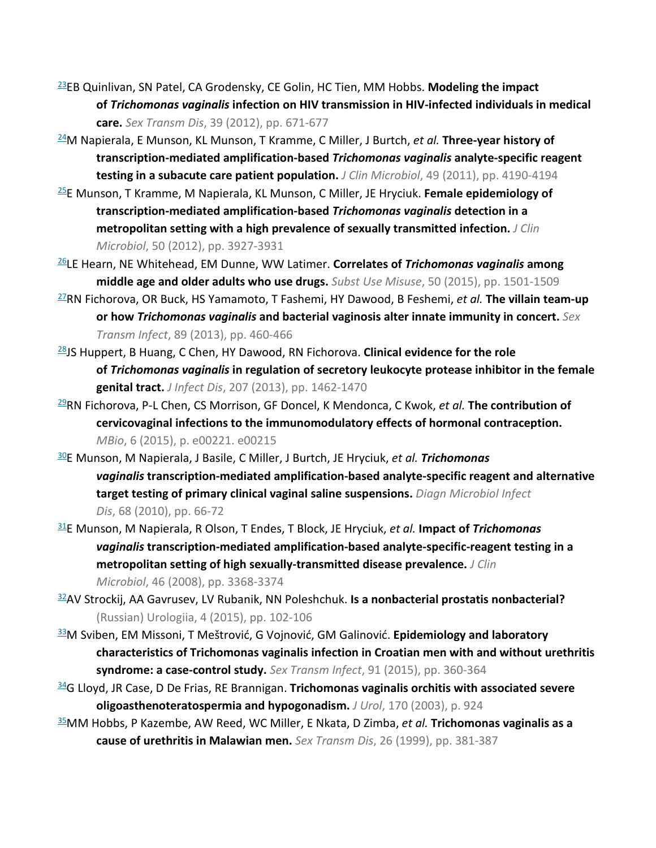- [23E](https://www.sciencedirect.com/science/article/pii/S0196439916300733?via%3Dihub#bbib23)B Quinlivan, SN Patel, CA Grodensky, CE Golin, HC Tien, MM Hobbs. **Modeling the impact of** *Trichomonas vaginalis* **infection on HIV transmission in HIV-infected individuals in medical care.** *Sex Transm Dis*, 39 (2012), pp. 671-677
- [24M](https://www.sciencedirect.com/science/article/pii/S0196439916300733?via%3Dihub#bbib24) Napierala, E Munson, KL Munson, T Kramme, C Miller, J Burtch, *et al.* **Three-year history of transcription-mediated amplification-based** *Trichomonas vaginalis* **analyte-specific reagent testing in a subacute care patient population.** *J Clin Microbiol*, 49 (2011), pp. 4190-4194
- [25E](https://www.sciencedirect.com/science/article/pii/S0196439916300733?via%3Dihub#bbib25) Munson, T Kramme, M Napierala, KL Munson, C Miller, JE Hryciuk. **Female epidemiology of transcription-mediated amplification-based** *Trichomonas vaginalis* **detection in a metropolitan setting with a high prevalence of sexually transmitted infection.** *J Clin Microbiol*, 50 (2012), pp. 3927-3931
- [26L](https://www.sciencedirect.com/science/article/pii/S0196439916300733?via%3Dihub#bbib26)E Hearn, NE Whitehead, EM Dunne, WW Latimer. **Correlates of** *Trichomonas vaginalis* **among middle age and older adults who use drugs.** *Subst Use Misuse*, 50 (2015), pp. 1501-1509
- [27R](https://www.sciencedirect.com/science/article/pii/S0196439916300733?via%3Dihub#bbib27)N Fichorova, OR Buck, HS Yamamoto, T Fashemi, HY Dawood, B Feshemi, *et al.* **The villain team-up or how** *Trichomonas vaginalis* **and bacterial vaginosis alter innate immunity in concert.** *Sex Transm Infect*, 89 (2013), pp. 460-466
- [28J](https://www.sciencedirect.com/science/article/pii/S0196439916300733?via%3Dihub#bbib28)S Huppert, B Huang, C Chen, HY Dawood, RN Fichorova. **Clinical evidence for the role of** *Trichomonas vaginalis* **in regulation of secretory leukocyte protease inhibitor in the female genital tract.** *J Infect Dis*, 207 (2013), pp. 1462-1470
- [29R](https://www.sciencedirect.com/science/article/pii/S0196439916300733?via%3Dihub#bbib29)N Fichorova, P-L Chen, CS Morrison, GF Doncel, K Mendonca, C Kwok, *et al.* **The contribution of cervicovaginal infections to the immunomodulatory effects of hormonal contraception.**  *MBio*, 6 (2015), p. e00221. e00215
- [30E](https://www.sciencedirect.com/science/article/pii/S0196439916300733?via%3Dihub#bbib30) Munson, M Napierala, J Basile, C Miller, J Burtch, JE Hryciuk, *et al. Trichomonas vaginalis* **transcription-mediated amplification-based analyte-specific reagent and alternative target testing of primary clinical vaginal saline suspensions.** *Diagn Microbiol Infect Dis*, 68 (2010), pp. 66-72
- [31E](https://www.sciencedirect.com/science/article/pii/S0196439916300733?via%3Dihub#bbib31) Munson, M Napierala, R Olson, T Endes, T Block, JE Hryciuk, *et al.* **Impact of** *Trichomonas vaginalis* **transcription-mediated amplification-based analyte-specific-reagent testing in a metropolitan setting of high sexually-transmitted disease prevalence.** *J Clin Microbiol*, 46 (2008), pp. 3368-3374
- [32A](https://www.sciencedirect.com/science/article/pii/S0196439916300733?via%3Dihub#bbib32)V Strockij, AA Gavrusev, LV Rubanik, NN Poleshchuk. **Is a nonbacterial prostatis nonbacterial?** (Russian) Urologiia, 4 (2015), pp. 102-106
- [33M](https://www.sciencedirect.com/science/article/pii/S0196439916300733?via%3Dihub#bbib33) Sviben, EM Missoni, T Meštrović, G Vojnović, GM Galinović. **Epidemiology and laboratory characteristics of Trichomonas vaginalis infection in Croatian men with and without urethritis syndrome: a case-control study.** *Sex Transm Infect*, 91 (2015), pp. 360-364
- [34G](https://www.sciencedirect.com/science/article/pii/S0196439916300733?via%3Dihub#bbib34) Lloyd, JR Case, D De Frias, RE Brannigan. **Trichomonas vaginalis orchitis with associated severe oligoasthenoteratospermia and hypogonadism.** *J Urol*, 170 (2003), p. 924
- [35M](https://www.sciencedirect.com/science/article/pii/S0196439916300733?via%3Dihub#bbib35)M Hobbs, P Kazembe, AW Reed, WC Miller, E Nkata, D Zimba, *et al.* **Trichomonas vaginalis as a cause of urethritis in Malawian men.** *Sex Transm Dis*, 26 (1999), pp. 381-387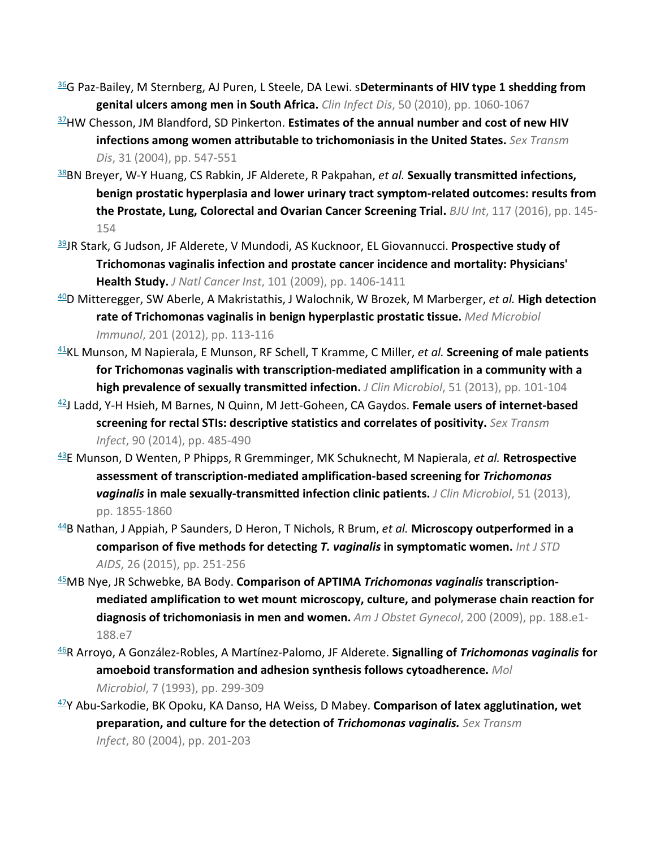- [36G](https://www.sciencedirect.com/science/article/pii/S0196439916300733?via%3Dihub#bbib36) Paz-Bailey, M Sternberg, AJ Puren, L Steele, DA Lewi. s**Determinants of HIV type 1 shedding from genital ulcers among men in South Africa.** *Clin Infect Dis*, 50 (2010), pp. 1060-1067
- [37H](https://www.sciencedirect.com/science/article/pii/S0196439916300733?via%3Dihub#bbib37)W Chesson, JM Blandford, SD Pinkerton. **Estimates of the annual number and cost of new HIV infections among women attributable to trichomoniasis in the United States.** *Sex Transm Dis*, 31 (2004), pp. 547-551
- [38B](https://www.sciencedirect.com/science/article/pii/S0196439916300733?via%3Dihub#bbib38)N Breyer, W-Y Huang, CS Rabkin, JF Alderete, R Pakpahan, *et al.* **Sexually transmitted infections, benign prostatic hyperplasia and lower urinary tract symptom-related outcomes: results from the Prostate, Lung, Colorectal and Ovarian Cancer Screening Trial.** *BJU Int*, 117 (2016), pp. 145- 154
- [39J](https://www.sciencedirect.com/science/article/pii/S0196439916300733?via%3Dihub#bbib39)R Stark, G Judson, JF Alderete, V Mundodi, AS Kucknoor, EL Giovannucci. **Prospective study of Trichomonas vaginalis infection and prostate cancer incidence and mortality: Physicians' Health Study.** *J Natl Cancer Inst*, 101 (2009), pp. 1406-1411
- [40D](https://www.sciencedirect.com/science/article/pii/S0196439916300733?via%3Dihub#bbib40) Mitteregger, SW Aberle, A Makristathis, J Walochnik, W Brozek, M Marberger, *et al.* **High detection rate of Trichomonas vaginalis in benign hyperplastic prostatic tissue.** *Med Microbiol Immunol*, 201 (2012), pp. 113-116
- [41K](https://www.sciencedirect.com/science/article/pii/S0196439916300733?via%3Dihub#bbib41)L Munson, M Napierala, E Munson, RF Schell, T Kramme, C Miller, *et al.* **Screening of male patients for Trichomonas vaginalis with transcription-mediated amplification in a community with a high prevalence of sexually transmitted infection.** *J Clin Microbiol*, 51 (2013), pp. 101-104
- [42J](https://www.sciencedirect.com/science/article/pii/S0196439916300733?via%3Dihub#bbib42) Ladd, Y-H Hsieh, M Barnes, N Quinn, M Jett-Goheen, CA Gaydos. **Female users of internet-based screening for rectal STIs: descriptive statistics and correlates of positivity.** *Sex Transm Infect*, 90 (2014), pp. 485-490
- [43E](https://www.sciencedirect.com/science/article/pii/S0196439916300733?via%3Dihub#bbib43) Munson, D Wenten, P Phipps, R Gremminger, MK Schuknecht, M Napierala, *et al.* **Retrospective assessment of transcription-mediated amplification-based screening for** *Trichomonas vaginalis* **in male sexually-transmitted infection clinic patients.** *J Clin Microbiol*, 51 (2013), pp. 1855-1860
- [44B](https://www.sciencedirect.com/science/article/pii/S0196439916300733?via%3Dihub#bbib44) Nathan, J Appiah, P Saunders, D Heron, T Nichols, R Brum, *et al.* **Microscopy outperformed in a comparison of five methods for detecting** *T. vaginalis* **in symptomatic women.** *Int J STD AIDS*, 26 (2015), pp. 251-256
- [45M](https://www.sciencedirect.com/science/article/pii/S0196439916300733?via%3Dihub#bbib45)B Nye, JR Schwebke, BA Body. **Comparison of APTIMA** *Trichomonas vaginalis* **transcriptionmediated amplification to wet mount microscopy, culture, and polymerase chain reaction for diagnosis of trichomoniasis in men and women.** *Am J Obstet Gynecol*, 200 (2009), pp. 188.e1- 188.e7
- [46R](https://www.sciencedirect.com/science/article/pii/S0196439916300733?via%3Dihub#bbib46) Arroyo, A González-Robles, A Martínez-Palomo, JF Alderete. **Signalling of** *Trichomonas vaginalis* **for amoeboid transformation and adhesion synthesis follows cytoadherence.** *Mol Microbiol*, 7 (1993), pp. 299-309
- [47Y](https://www.sciencedirect.com/science/article/pii/S0196439916300733?via%3Dihub#bbib47) Abu-Sarkodie, BK Opoku, KA Danso, HA Weiss, D Mabey. **Comparison of latex agglutination, wet preparation, and culture for the detection of** *Trichomonas vaginalis. Sex Transm Infect*, 80 (2004), pp. 201-203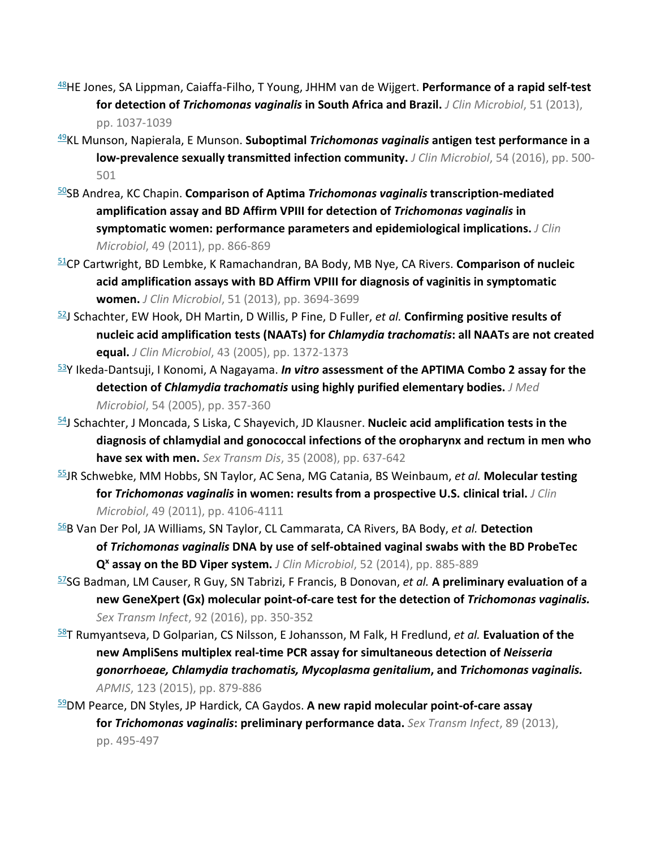- [48H](https://www.sciencedirect.com/science/article/pii/S0196439916300733?via%3Dihub#bbib48)E Jones, SA Lippman, Caiaffa-Filho, T Young, JHHM van de Wijgert. **Performance of a rapid self-test for detection of** *Trichomonas vaginalis* **in South Africa and Brazil.** *J Clin Microbiol*, 51 (2013), pp. 1037-1039
- [49K](https://www.sciencedirect.com/science/article/pii/S0196439916300733?via%3Dihub#bbib49)L Munson, Napierala, E Munson. **Suboptimal** *Trichomonas vaginalis* **antigen test performance in a low-prevalence sexually transmitted infection community.** *J Clin Microbiol*, 54 (2016), pp. 500- 501
- [50S](https://www.sciencedirect.com/science/article/pii/S0196439916300733?via%3Dihub#bbib50)B Andrea, KC Chapin. **Comparison of Aptima** *Trichomonas vaginalis* **transcription-mediated amplification assay and BD Affirm VPIII for detection of** *Trichomonas vaginalis* **in symptomatic women: performance parameters and epidemiological implications.** *J Clin Microbiol*, 49 (2011), pp. 866-869
- [51C](https://www.sciencedirect.com/science/article/pii/S0196439916300733?via%3Dihub#bbib51)P Cartwright, BD Lembke, K Ramachandran, BA Body, MB Nye, CA Rivers. **Comparison of nucleic acid amplification assays with BD Affirm VPIII for diagnosis of vaginitis in symptomatic women.** *J Clin Microbiol*, 51 (2013), pp. 3694-3699
- [52J](https://www.sciencedirect.com/science/article/pii/S0196439916300733?via%3Dihub#bbib52) Schachter, EW Hook, DH Martin, D Willis, P Fine, D Fuller, *et al.* **Confirming positive results of nucleic acid amplification tests (NAATs) for** *Chlamydia trachomatis***: all NAATs are not created equal.** *J Clin Microbiol*, 43 (2005), pp. 1372-1373
- [53Y](https://www.sciencedirect.com/science/article/pii/S0196439916300733?via%3Dihub#bbib53) Ikeda-Dantsuji, I Konomi, A Nagayama. *In vitro* **assessment of the APTIMA Combo 2 assay for the detection of** *Chlamydia trachomatis* **using highly purified elementary bodies.** *J Med Microbiol*, 54 (2005), pp. 357-360
- [54J](https://www.sciencedirect.com/science/article/pii/S0196439916300733?via%3Dihub#bbib54) Schachter, J Moncada, S Liska, C Shayevich, JD Klausner. **Nucleic acid amplification tests in the diagnosis of chlamydial and gonococcal infections of the oropharynx and rectum in men who have sex with men.** *Sex Transm Dis*, 35 (2008), pp. 637-642
- [55J](https://www.sciencedirect.com/science/article/pii/S0196439916300733?via%3Dihub#bbib55)R Schwebke, MM Hobbs, SN Taylor, AC Sena, MG Catania, BS Weinbaum, *et al.* **Molecular testing for** *Trichomonas vaginalis* **in women: results from a prospective U.S. clinical trial.** *J Clin Microbiol*, 49 (2011), pp. 4106-4111
- [56B](https://www.sciencedirect.com/science/article/pii/S0196439916300733?via%3Dihub#bbib56) Van Der Pol, JA Williams, SN Taylor, CL Cammarata, CA Rivers, BA Body, *et al.* **Detection of** *Trichomonas vaginalis* **DNA by use of self-obtained vaginal swabs with the BD ProbeTec Qx assay on the BD Viper system.** *J Clin Microbiol*, 52 (2014), pp. 885-889
- [57S](https://www.sciencedirect.com/science/article/pii/S0196439916300733?via%3Dihub#bbib57)G Badman, LM Causer, R Guy, SN Tabrizi, F Francis, B Donovan, *et al.* **A preliminary evaluation of a new GeneXpert (Gx) molecular point-of-care test for the detection of** *Trichomonas vaginalis. Sex Transm Infect*, 92 (2016), pp. 350-352
- [58T](https://www.sciencedirect.com/science/article/pii/S0196439916300733?via%3Dihub#bbib58) Rumyantseva, D Golparian, CS Nilsson, E Johansson, M Falk, H Fredlund, *et al.* **Evaluation of the new AmpliSens multiplex real-time PCR assay for simultaneous detection of** *Neisseria gonorrhoeae, Chlamydia trachomatis, Mycoplasma genitalium***, and** *Trichomonas vaginalis. APMIS*, 123 (2015), pp. 879-886
- [59D](https://www.sciencedirect.com/science/article/pii/S0196439916300733?via%3Dihub#bbib59)M Pearce, DN Styles, JP Hardick, CA Gaydos. **A new rapid molecular point-of-care assay for** *Trichomonas vaginalis***: preliminary performance data.** *Sex Transm Infect*, 89 (2013), pp. 495-497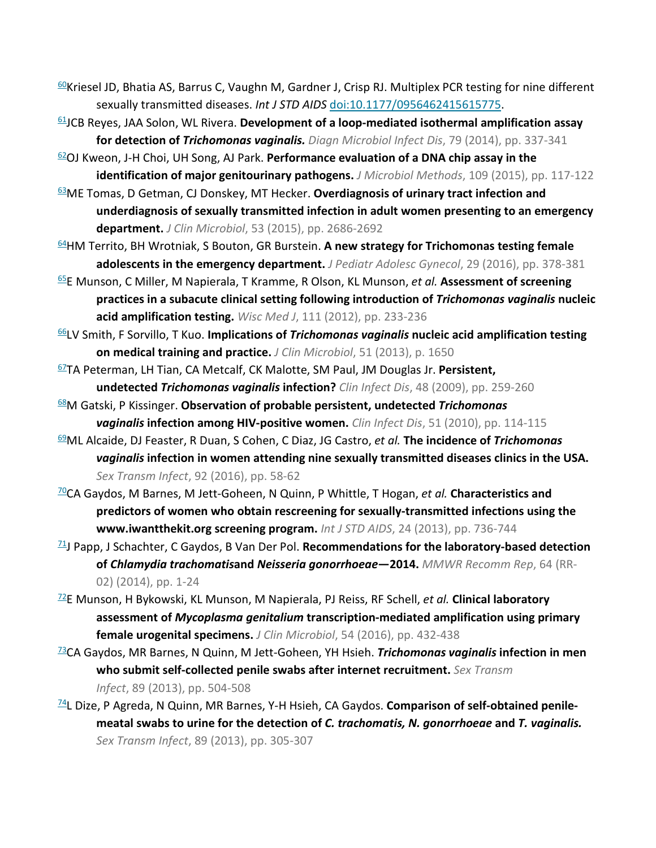- 60 Kriesel JD, Bhatia AS, Barrus C, Vaughn M, Gardner J, Crisp RJ. Multiplex PCR testing for nine different sexually transmitted diseases. *Int J STD AIDS* [doi:10.1177/0956462415615775.](http://dx.doi.org/10.1177/0956462415615775)
- [61J](https://www.sciencedirect.com/science/article/pii/S0196439916300733?via%3Dihub#bbib61)CB Reyes, JAA Solon, WL Rivera. **Development of a loop-mediated isothermal amplification assay for detection of** *Trichomonas vaginalis. Diagn Microbiol Infect Dis*, 79 (2014), pp. 337-341
- [62O](https://www.sciencedirect.com/science/article/pii/S0196439916300733?via%3Dihub#bbib62)J Kweon, J-H Choi, UH Song, AJ Park. **Performance evaluation of a DNA chip assay in the identification of major genitourinary pathogens.** *J Microbiol Methods*, 109 (2015), pp. 117-122
- [63M](https://www.sciencedirect.com/science/article/pii/S0196439916300733?via%3Dihub#bbib63)E Tomas, D Getman, CJ Donskey, MT Hecker. **Overdiagnosis of urinary tract infection and underdiagnosis of sexually transmitted infection in adult women presenting to an emergency department.** *J Clin Microbiol*, 53 (2015), pp. 2686-2692
- [64H](https://www.sciencedirect.com/science/article/pii/S0196439916300733?via%3Dihub#bbib64)M Territo, BH Wrotniak, S Bouton, GR Burstein. **A new strategy for Trichomonas testing female adolescents in the emergency department.** *J Pediatr Adolesc Gynecol*, 29 (2016), pp. 378-381
- [65E](https://www.sciencedirect.com/science/article/pii/S0196439916300733?via%3Dihub#bbib65) Munson, C Miller, M Napierala, T Kramme, R Olson, KL Munson, *et al.* **Assessment of screening practices in a subacute clinical setting following introduction of** *Trichomonas vaginalis* **nucleic acid amplification testing.** *Wisc Med J*, 111 (2012), pp. 233-236
- [66L](https://www.sciencedirect.com/science/article/pii/S0196439916300733?via%3Dihub#bbib66)V Smith, F Sorvillo, T Kuo. **Implications of** *Trichomonas vaginalis* **nucleic acid amplification testing on medical training and practice.** *J Clin Microbiol*, 51 (2013), p. 1650
- [67T](https://www.sciencedirect.com/science/article/pii/S0196439916300733?via%3Dihub#bbib67)A Peterman, LH Tian, CA Metcalf, CK Malotte, SM Paul, JM Douglas Jr. **Persistent, undetected** *Trichomonas vaginalis* **infection?** *Clin Infect Dis*, 48 (2009), pp. 259-260
- [68M](https://www.sciencedirect.com/science/article/pii/S0196439916300733?via%3Dihub#bbib68) Gatski, P Kissinger. **Observation of probable persistent, undetected** *Trichomonas vaginalis* **infection among HIV-positive women.** *Clin Infect Dis*, 51 (2010), pp. 114-115
- [69M](https://www.sciencedirect.com/science/article/pii/S0196439916300733?via%3Dihub#bbib69)L Alcaide, DJ Feaster, R Duan, S Cohen, C Diaz, JG Castro, *et al.* **The incidence of** *Trichomonas vaginalis* **infection in women attending nine sexually transmitted diseases clinics in the USA.**  *Sex Transm Infect*, 92 (2016), pp. 58-62
- [70C](https://www.sciencedirect.com/science/article/pii/S0196439916300733?via%3Dihub#bbib70)A Gaydos, M Barnes, M Jett-Goheen, N Quinn, P Whittle, T Hogan, *et al.* **Characteristics and predictors of women who obtain rescreening for sexually-transmitted infections using the www.iwantthekit.org screening program.** *Int J STD AIDS*, 24 (2013), pp. 736-744
- [71J](https://www.sciencedirect.com/science/article/pii/S0196439916300733?via%3Dihub#bbib71) Papp, J Schachter, C Gaydos, B Van Der Pol. **Recommendations for the laboratory-based detection of** *Chlamydia trachomatis***and** *Neisseria gonorrhoeae***—2014.** *MMWR Recomm Rep*, 64 (RR-02) (2014), pp. 1-24
- [72E](https://www.sciencedirect.com/science/article/pii/S0196439916300733?via%3Dihub#bbib72) Munson, H Bykowski, KL Munson, M Napierala, PJ Reiss, RF Schell, *et al.* **Clinical laboratory assessment of** *Mycoplasma genitalium* **transcription-mediated amplification using primary female urogenital specimens.** *J Clin Microbiol*, 54 (2016), pp. 432-438
- [73C](https://www.sciencedirect.com/science/article/pii/S0196439916300733?via%3Dihub#bbib73)A Gaydos, MR Barnes, N Quinn, M Jett-Goheen, YH Hsieh. *Trichomonas vaginalis* **infection in men who submit self-collected penile swabs after internet recruitment.** *Sex Transm Infect*, 89 (2013), pp. 504-508
- <sup>74</sup>L Dize, P Agreda, N Quinn, MR Barnes, Y-H Hsieh, CA Gaydos. **Comparison of self-obtained penilemeatal swabs to urine for the detection of** *C. trachomatis, N. gonorrhoeae* **and** *T. vaginalis. Sex Transm Infect*, 89 (2013), pp. 305-307